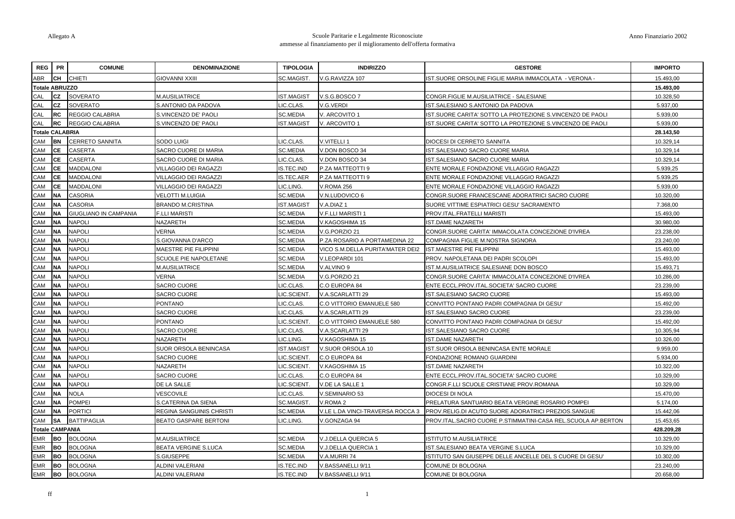| <b>REG</b>             | <b>PR</b> | <b>COMUNE</b>                | <b>DENOMINAZIONE</b>         | <b>TIPOLOGIA</b>  | <b>INDIRIZZO</b>                 | <b>GESTORE</b>                                               | <b>IMPORTO</b> |
|------------------------|-----------|------------------------------|------------------------------|-------------------|----------------------------------|--------------------------------------------------------------|----------------|
| ABR                    | CH        | <b>CHIETI</b>                | GIOVANNI XXIII               | SC.MAGIST.        | V.G.RAVIZZA 107                  | ST.SUORE ORSOLINE FIGLIE MARIA IMMACOLATA - VERONA -         | 15.493,00      |
| <b>Totale ABRUZZO</b>  |           |                              |                              |                   |                                  |                                                              | 15.493,00      |
| CAL                    | CZ        | <b>SOVERATO</b>              | <b>M.AUSILIATRICE</b>        | <b>IST.MAGIST</b> | V.S.G.BOSCO 7                    | CONGR.FIGLIE M.AUSILIATRICE - SALESIANE                      | 10.328,50      |
| CAL                    | <b>CZ</b> | SOVERATO                     | S.ANTONIO DA PADOVA          | LIC.CLAS.         | V.G.VERDI                        | IST.SALESIANO S.ANTONIO DA PADOVA                            | 5.937,00       |
| CAL                    | <b>RC</b> | REGGIO CALABRIA              | S.VINCENZO DE' PAOLI         | <b>SC.MEDIA</b>   | V. ARCOVITO 1                    | IST.SUORE CARITA' SOTTO LA PROTEZIONE S.VINCENZO DE PAOLI    | 5.939,00       |
| CAL                    | RC        | <b>REGGIO CALABRIA</b>       | S.VINCENZO DE' PAOLI         | <b>IST.MAGIST</b> | V. ARCOVITO 1                    | IST.SUORE CARITA' SOTTO LA PROTEZIONE S.VINCENZO DE PAOLI    | 5.939,00       |
| <b>Totale CALABRIA</b> |           |                              |                              |                   |                                  |                                                              | 28.143,50      |
| CAM                    | <b>BN</b> | <b>CERRETO SANNITA</b>       | SODO LUIGI                   | LIC.CLAS.         | V.VITELLI 1                      | DIOCESI DI CERRETO SANNITA                                   | 10.329,14      |
| CAM                    | <b>CE</b> | CASERTA                      | SACRO CUORE DI MARIA         | SC.MEDIA          | V.DON BOSCO 34                   | IST.SALESIANO SACRO CUORE MARIA                              | 10.329,14      |
| CAM                    | СE        | CASERTA                      | SACRO CUORE DI MARIA         | LIC.CLAS.         | /.DON BOSCO 34                   | IST.SALESIANO SACRO CUORE MARIA                              | 10.329,14      |
| CAM                    | <b>CE</b> | <b>MADDALONI</b>             | VILLAGGIO DEI RAGAZZI        | <b>IS.TEC.IND</b> | P.ZA MATTEOTTI 9                 | ENTE MORALE FONDAZIONE VILLAGGIO RAGAZZI                     | 5.939,25       |
| CAM                    | СE        | <b>MADDALONI</b>             | VILLAGGIO DEI RAGAZZI        | IS.TEC.AER        | P.ZA MATTEOTTI 9                 | ENTE MORALE FONDAZIONE VILLAGGIO RAGAZZI                     | 5.939,25       |
| CAM                    | <b>CE</b> | <b>MADDALONI</b>             | VILLAGGIO DEI RAGAZZI        | LIC.LING          | V.ROMA 256                       | ENTE MORALE FONDAZIONE VILLAGGIO RAGAZZI                     | 5.939,00       |
| CAM                    | <b>NA</b> | CASORIA                      | VELOTTI M.LUIGIA             | <b>SC.MEDIA</b>   | V.N.LUDOVICO 6                   | CONGR.SUORE FRANCESCANE ADORATRICI SACRO CUORE               | 10.320,00      |
| CAM                    | <b>NA</b> | <b>CASORIA</b>               | <b>BRANDO M.CRISTINA</b>     | <b>IST.MAGIST</b> | V.A.DIAZ 1                       | SUORE VITTIME ESPIATRICI GESU' SACRAMENTO                    | 7.368,00       |
| CAM                    | <b>NA</b> | <b>GIUGLIANO IN CAMPANIA</b> | <b>F.LLI MARISTI</b>         | <b>SC.MEDIA</b>   | V.F.LLI MARISTI 1                | PROV.ITAL.FRATELLI MARISTI                                   | 15.493,00      |
| CAM                    | <b>NA</b> | <b>NAPOLI</b>                | NAZARETH                     | <b>SC.MEDIA</b>   | V.KAGOSHIMA 15                   | <b>ST.DAME NAZARETH</b>                                      | 30.980,00      |
| CAM                    | <b>NA</b> | <b>NAPOLI</b>                | <b>VERNA</b>                 | <b>SC.MEDIA</b>   | V.G.PORZIO 21                    | CONGR.SUORE CARITA' IMMACOLATA CONCEZIONE D'IVREA            | 23.238,00      |
| CAM                    | <b>NA</b> | <b>NAPOLI</b>                | S.GIOVANNA D'ARCO            | <b>SC.MEDIA</b>   | P.ZA ROSARIO A PORTAMEDINA 22    | COMPAGNIA FIGLIE M.NOSTRA SIGNORA                            | 23.240,00      |
| CAM                    | <b>NA</b> | <b>NAPOLI</b>                | MAESTRE PIE FILIPPINI        | <b>SC.MEDIA</b>   | VICO S.M.DELLA PURITA'MATER DEI2 | IST.MAESTRE PIE FILIPPINI                                    | 15.493,00      |
| CAM                    | <b>NA</b> | <b>NAPOLI</b>                | <b>SCUOLE PIE NAPOLETANE</b> | <b>SC.MEDIA</b>   | V.LEOPARDI 101                   | PROV. NAPOLETANA DEI PADRI SCOLOPI                           | 15.493,00      |
| CAM                    | NA.       | <b>NAPOLI</b>                | M.AUSILIATRICE               | <b>SC.MEDIA</b>   | V.ALVINO 9                       | ST.M.AUSILIATRICE SALESIANE DON BOSCO                        | 15.493,71      |
| CAM                    | <b>NA</b> | <b>NAPOLI</b>                | VERNA                        | <b>SC.MEDIA</b>   | V.G.PORZIO 21                    | CONGR.SUORE CARITA' IMMACOLATA CONCEZIONE D'IVREA            | 10.286,00      |
| CAM                    | <b>NA</b> | <b>NAPOLI</b>                | SACRO CUORE                  | LIC.CLAS.         | C.O EUROPA 84                    | ENTE ECCL.PROV.ITAL.SOCIETA' SACRO CUORE                     | 23.239,00      |
| CAM                    | <b>NA</b> | <b>NAPOLI</b>                | SACRO CUORE                  | LIC.SCIENT.       | V.A.SCARLATTI 29                 | IST.SALESIANO SACRO CUORE                                    | 15.493,00      |
| CAM                    | <b>NA</b> | <b>NAPOLI</b>                | <b>PONTANO</b>               | LIC.CLAS.         | C.O VITTORIO EMANUELE 580        | CONVITTO PONTANO PADRI COMPAGNIA DI GESU                     | 15.492,00      |
| CAM                    | <b>NA</b> | <b>NAPOLI</b>                | <b>SACRO CUORE</b>           | LIC.CLAS.         | V.A.SCARLATTI 29                 | <b>ST.SALESIANO SACRO CUORE</b>                              | 23.239,00      |
| CAM                    | <b>NA</b> | <b>NAPOLI</b>                | <b>PONTANO</b>               | LIC.SCIENT.       | C.O VITTORIO EMANUELE 580        | CONVITTO PONTANO PADRI COMPAGNIA DI GESU'                    | 15.492,00      |
| CAM                    | <b>NA</b> | <b>NAPOLI</b>                | SACRO CUORE                  | LIC.CLAS.         | V.A.SCARLATTI 29                 | IST.SALESIANO SACRO CUORE                                    | 10.305,94      |
| CAM                    | <b>NA</b> | <b>NAPOLI</b>                | NAZARETH                     | LIC.LING.         | V.KAGOSHIMA 15                   | <b>ST.DAME NAZARETH</b>                                      | 10.326,00      |
| CAM                    | <b>NA</b> | <b>NAPOLI</b>                | SUOR ORSOLA BENINCASA        | <b>IST.MAGIST</b> | V.SUOR ORSOLA 10                 | IST.SUOR ORSOLA BENINCASA ENTE MORALE                        | 9.959,00       |
| CAM                    | <b>NA</b> | <b>NAPOLI</b>                | SACRO CUORE                  | <b>IC.SCIENT.</b> | C.O EUROPA 84                    | FONDAZIONE ROMANO GUARDINI                                   | 5.934,00       |
| CAM                    | <b>NA</b> | <b>NAPOLI</b>                | NAZARETH                     | LIC.SCIENT.       | V.KAGOSHIMA 15                   | <b>IST.DAME NAZARETH</b>                                     | 10.322,00      |
| <b>CAM</b>             | NA        | <b>NAPOLI</b>                | SACRO CUORE                  | <b>IC.CLAS.</b>   | C.O EUROPA 84                    | ENTE ECCL.PROV.ITAL.SOCIETA' SACRO CUORE                     | 10.329,00      |
| CAM                    | <b>NA</b> | <b>NAPOLI</b>                | DE LA SALLE                  | LIC.SCIENT.       | V.DE LA SALLE 1                  | CONGR.F.LLI SCUOLE CRISTIANE PROV.ROMANA                     | 10.329,00      |
| CAM                    | <b>NA</b> | <b>NOLA</b>                  | VESCOVILE                    | LIC.CLAS.         | V.SEMINARIO 53                   | <b>DIOCESI DI NOLA</b>                                       | 15.470,00      |
| CAM                    | <b>NA</b> | <b>POMPEI</b>                | S.CATERINA DA SIENA          | SC.MAGIST.        | V.ROMA 2                         | PRELATURA SANTUARIO BEATA VERGINE ROSARIO POMPEI             | 5.174,00       |
| CAM                    | <b>NA</b> | PORTICI                      | REGINA SANGUINIS CHRISTI     | <b>SC.MEDIA</b>   | V.LE L.DA VINCI-TRAVERSA ROCCA 3 | PROV.RELIG.DI ACUTO SUORE ADORATRICI PREZIOS.SANGUE          | 15.442,06      |
| CAM                    | SΑ        | <b>BATTIPAGLIA</b>           | BEATO GASPARE BERTONI        | <b>IC.LING.</b>   | V.GONZAGA 94                     | PROV.ITAL.SACRO CUORE P.STIMMATINI-CASA REL.SCUOLA AP.BERTON | 15.453,65      |
| <b>Totale CAMPANIA</b> |           |                              |                              |                   |                                  |                                                              | 428.209,28     |
| <b>EMR</b>             | <b>BO</b> | <b>BOLOGNA</b>               | <b>M.AUSILIATRICE</b>        | <b>SC.MEDIA</b>   | V.J.DELLA QUERCIA 5              | <b>ISTITUTO M.AUSILIATRICE</b>                               | 10.329,00      |
| <b>EMR</b>             | <b>BO</b> | <b>BOLOGNA</b>               | BEATA VERGINE S.LUCA         | <b>SC.MEDIA</b>   | V.J.DELLA QUERCIA 1              | IST.SALESIANO BEATA VERGINE S.LUCA                           | 10.329,00      |
| <b>EMR</b>             | <b>BO</b> | <b>BOLOGNA</b>               | S.GIUSEPPE                   | <b>SC.MEDIA</b>   | V.A.MURRI 74                     | STITUTO SAN GIUSEPPE DELLE ANCELLE DEL S CUORE DI GESU'      | 10.302,00      |
| <b>EMR</b>             | <b>BO</b> | <b>BOLOGNA</b>               | ALDINI VALERIANI             | S.TEC.IND         | BASSANELLI 9/11                  | COMUNE DI BOLOGNA                                            | 23.240,00      |
| EMR                    | <b>BO</b> | <b>BOLOGNA</b>               | ALDINI VALERIANI             | <b>IS.TEC.IND</b> | V.BASSANELLI 9/11                | COMUNE DI BOLOGNA                                            | 20.658.00      |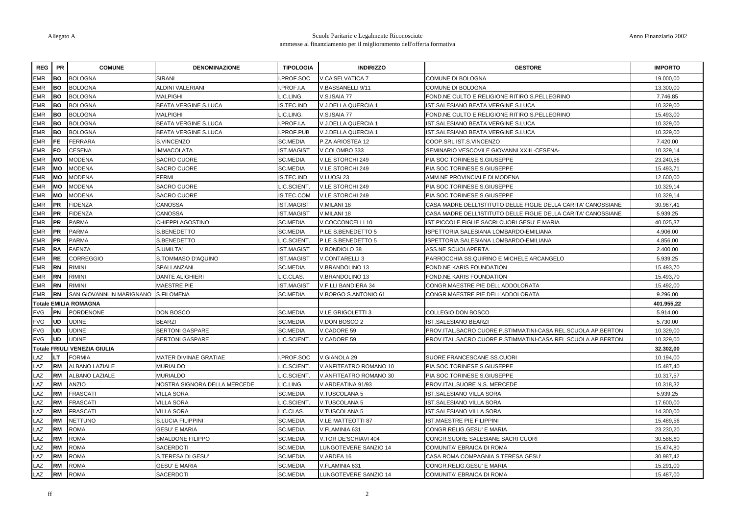| <b>REG</b> | <b>PR</b> | <b>COMUNE</b>                       | <b>DENOMINAZIONE</b>         | <b>TIPOLOGIA</b>  | <b>INDIRIZZO</b>        | <b>GESTORE</b>                                                 | <b>IMPORTO</b> |
|------------|-----------|-------------------------------------|------------------------------|-------------------|-------------------------|----------------------------------------------------------------|----------------|
| <b>EMR</b> | BO.       | <b>BOLOGNA</b>                      | <b>SIRANI</b>                | PROF.SOC          | <b>V.CA'SELVATICA 7</b> | COMUNE DI BOLOGNA                                              | 19.000,00      |
| <b>EMR</b> | <b>BO</b> | <b>BOLOGNA</b>                      | ALDINI VALERIANI             | PROF.I.A          | /.BASSANELLI 9/11       | COMUNE DI BOLOGNA                                              | 13.300,00      |
| <b>EMR</b> | <b>BO</b> | <b>BOLOGNA</b>                      | <b>MALPIGHI</b>              | IC.LING.          | V.S.ISAIA 77            | FOND.NE CULTO E RELIGIONE RITIRO S.PELLEGRINO                  | 7.746,85       |
| <b>EMR</b> | <b>BO</b> | <b>BOLOGNA</b>                      | BEATA VERGINE S.LUCA         | S.TEC.IND         | V.J.DELLA QUERCIA 1     | IST.SALESIANO BEATA VERGINE S.LUCA                             | 10.329,00      |
| <b>EMR</b> | <b>BO</b> | <b>BOLOGNA</b>                      | <b>MALPIGHI</b>              | IC.LING.          | V.S.ISAIA 77            | FOND.NE CULTO E RELIGIONE RITIRO S.PELLEGRINO                  | 15.493,00      |
| <b>EMR</b> | <b>BO</b> | <b>BOLOGNA</b>                      | <b>BEATA VERGINE S.LUCA</b>  | PROF.I.A          | V.J.DELLA QUERCIA 1     | IST. SALESIANO BEATA VERGINE S.LUCA                            | 10.329,00      |
| <b>EMR</b> | <b>BO</b> | <b>BOLOGNA</b>                      | <b>BEATA VERGINE S.LUCA</b>  | PROF.PUB          | V.J.DELLA QUERCIA 1     | IST.SALESIANO BEATA VERGINE S.LUCA                             | 10.329,00      |
| <b>EMR</b> | <b>FE</b> | <b>FERRARA</b>                      | S.VINCENZO                   | <b>SC.MEDIA</b>   | P.ZA ARIOSTEA 12        | COOP.SRL IST.S.VINCENZO                                        | 7.420,00       |
| <b>EMR</b> | <b>FO</b> | <b>CESENA</b>                       | <b>IMMACOLATA</b>            | ST.MAGIST         | V.COLOMBO 333           | SEMINARIO VESCOVILE GIOVANNI XXIII -CESENA-                    | 10.329,14      |
| <b>EMR</b> | <b>MO</b> | <b>MODENA</b>                       | SACRO CUORE                  | <b>SC.MEDIA</b>   | V.LE STORCHI 249        | PIA SOC.TORINESE S.GIUSEPPE                                    | 23.240,56      |
| <b>EMR</b> | <b>MO</b> | <b>MODENA</b>                       | <b>SACRO CUORE</b>           | <b>SC.MEDIA</b>   | V.LE STORCHI 249        | PIA SOC.TORINESE S.GIUSEPPE                                    | 15.493,71      |
| <b>EMR</b> | <b>MO</b> | <b>MODENA</b>                       | FERMI                        | S.TEC.IND         | V.LUOSI 23              | AMM.NE PROVINCIALE DI MODENA                                   | 12.600,00      |
| <b>EMR</b> | MO        | <b>MODENA</b>                       | <b>SACRO CUORE</b>           | IC.SCIENT.        | V.LE STORCHI 249        | PIA SOC.TORINESE S.GIUSEPPE                                    | 10.329,14      |
| <b>EMR</b> | <b>MO</b> | <b>MODENA</b>                       | SACRO CUORE                  | S.TEC.COM         | V.LE STORCHI 249        | PIA SOC.TORINESE S.GIUSEPPE                                    | 10.329,14      |
| <b>EMR</b> | <b>PR</b> | <b>FIDENZA</b>                      | CANOSSA                      | <b>ST.MAGIST</b>  | V.MILANI 18             | CASA MADRE DELL'ISTITUTO DELLE FIGLIE DELLA CARITA' CANOSSIANE | 30.987,41      |
| <b>EMR</b> | <b>PR</b> | <b>FIDENZA</b>                      | CANOSSA                      | ST.MAGIST         | V.MILANI 18             | CASA MADRE DELL'ISTITUTO DELLE FIGLIE DELLA CARITA' CANOSSIANE | 5.939,25       |
| <b>EMR</b> | <b>PR</b> | <b>PARMA</b>                        | CHIEPPI AGOSTINO             | <b>SC.MEDIA</b>   | V.COCCONCELLI 10        | IST.PICCOLE FIGLIE SACRI CUORI GESU' E MARIA                   | 40.025,37      |
| <b>EMR</b> | <b>PR</b> | <b>PARMA</b>                        | S.BENEDETTO                  | <b>SC.MEDIA</b>   | P.LE S.BENEDETTO 5      | ISPETTORIA SALESIANA LOMBARDO-EMILIANA                         | 4.906,00       |
| <b>EMR</b> | <b>PR</b> | <b>PARMA</b>                        | S.BENEDETTO                  | <b>IC.SCIENT.</b> | P.LE S.BENEDETTO 5      | ISPETTORIA SALESIANA LOMBARDO-EMILIANA                         | 4.856,00       |
| <b>EMR</b> | <b>RA</b> | <b>FAENZA</b>                       | S.UMILTA'                    | ST.MAGIST         | V.BONDIOLO 38           | ASS.NE SCUOLAPERTA                                             | 2.400,00       |
| <b>EMR</b> | <b>RE</b> | <b>CORREGGIO</b>                    | S.TOMMASO D'AQUINO           | ST.MAGIST         | V.CONTARELLI 3          | PARROCCHIA SS.QUIRINO E MICHELE ARCANGELO                      | 5.939,25       |
| <b>EMR</b> | <b>RN</b> | <b>RIMINI</b>                       | SPALLANZANI                  | <b>SC.MEDIA</b>   | V.BRANDOLINO 13         | FOND.NE KARIS FOUNDATION                                       | 15.493,70      |
| <b>EMR</b> | <b>RN</b> | <b>RIMINI</b>                       | <b>DANTE ALIGHIERI</b>       | IC.CLAS.          | V.BRANDOLINO 13         | FOND.NE KARIS FOUNDATION                                       | 15.493,70      |
| <b>EMR</b> | <b>RN</b> | <b>RIMINI</b>                       | MAESTRE PIE                  | ST.MAGIST         | V.F.LLI BANDIERA 34     | CONGR.MAESTRE PIE DELL'ADDOLORATA                              | 15.492,00      |
| <b>EMR</b> | <b>RN</b> | SAN GIOVANNI IN MARIGNANO           | S.FILOMENA                   | <b>SC.MEDIA</b>   | V.BORGO S.ANTONIO 61    | CONGR.MAESTRE PIE DELL'ADDOLORATA                              | 9.296,00       |
|            |           | <b>Totale EMILIA ROMAGNA</b>        |                              |                   |                         |                                                                | 401.955,22     |
| <b>FVG</b> | PN        | <b>PORDENONE</b>                    | DON BOSCO                    | <b>SC.MEDIA</b>   | V.LE GRIGOLETTI 3       | COLLEGIO DON BOSCO                                             | 5.914,00       |
| <b>FVG</b> | <b>UD</b> | <b>UDINE</b>                        | <b>BEARZI</b>                | <b>SC.MEDIA</b>   | V.DON BOSCO 2           | IST.SALESIANO BEARZI                                           | 5.730,00       |
| <b>FVG</b> | <b>UD</b> | <b>UDINE</b>                        | <b>BERTONI GASPARE</b>       | SC.MEDIA          | V.CADORE 59             | PROV.ITAL.SACRO CUORE P.STIMMATINI-CASA REL.SCUOLA AP.BERTON   | 10.329,00      |
| <b>FVG</b> | <b>UD</b> | <b>UDINE</b>                        | <b>BERTONI GASPARE</b>       | IC.SCIENT.        | V.CADORE 59             | PROV.ITAL.SACRO CUORE P.STIMMATINI-CASA REL.SCUOLA AP.BERTON   | 10.329,00      |
|            |           | <b>Totale FRIULI VENEZIA GIULIA</b> |                              |                   |                         |                                                                | 32.302,00      |
| _AZ        | LТ        | <b>FORMIA</b>                       | MATER DIVINAE GRATIAE        | PROF.SOC          | V.GIANOLA 29            | SUORE FRANCESCANE SS.CUORI                                     | 10.194,00      |
| AZ.        | <b>RM</b> | ALBANO LAZIALE                      | <b>MURIALDO</b>              | IC.SCIENT.        | V.ANFITEATRO ROMANO 10  | PIA SOC.TORINESE S.GIUSEPPE                                    | 15.487,40      |
| _AZ        | <b>RM</b> | ALBANO LAZIALE                      | <b>MURIALDO</b>              | IC.SCIENT.        | V.ANFITEATRO ROMANO 30  | PIA SOC.TORINESE S.GIUSEPPE                                    | 10.317,57      |
| AZ.        | <b>RM</b> | ANZIO                               | NOSTRA SIGNORA DELLA MERCEDE | IC.LING.          | V.ARDEATINA 91/93       | PROV.ITAL.SUORE N.S. MERCEDE                                   | 10.318,32      |
| AZ         | <b>RM</b> | <b>FRASCATI</b>                     | VILLA SORA                   | SC.MEDIA          | V.TUSCOLANA 5           | IST.SALESIANO VILLA SORA                                       | 5.939,25       |
| _AZ        | <b>RM</b> | <b>FRASCATI</b>                     | <b>VILLA SORA</b>            | IC.SCIENT         | V.TUSCOLANA 5           | IST.SALESIANO VILLA SORA                                       | 17.600,00      |
| ΑZ         | <b>RM</b> | <b>FRASCATI</b>                     | <b>VILLA SORA</b>            | IC.CLAS.          | V.TUSCOLANA 5           | IST.SALESIANO VILLA SORA                                       | 14.300,00      |
| LAZ        | <b>RM</b> | NETTUNO                             | S.LUCIA FILIPPINI            | SC.MEDIA          | V.LE MATTEOTTI 87       | IST.MAESTRE PIE FILIPPINI                                      | 15.489,56      |
| AZ.        | <b>RM</b> | <b>ROMA</b>                         | <b>GESU' E MARIA</b>         | <b>SC.MEDIA</b>   | V.FLAMINIA 631          | CONGR.RELIG.GESU' E MARIA                                      | 23.230,20      |
| <b>AZ</b>  | <b>RM</b> | <b>ROMA</b>                         | SMALDONE FILIPPO             | <b>SC.MEDIA</b>   | V.TOR DE'SCHIAVI 404    | CONGR.SUORE SALESIANE SACRI CUORI                              | 30.588,60      |
| <b>AZ</b>  | <b>RM</b> | ROMA                                | SACERDOTI                    | SC.MEDIA          | LUNGOTEVERE SANZIO 14   | COMUNITA' EBRAICA DI ROMA                                      | 15.474,80      |
| ΑZ         | <b>RM</b> | ROMA                                | S.TERESA DI GESU'            | <b>SC.MEDIA</b>   | V.ARDEA 16              | CASA ROMA COMPAGNIA S.TERESA GESU'                             | 30.987,42      |
| AZ.        | <b>RM</b> | AMOS                                | GESU' E MARIA                | SC.MEDIA          | V.FLAMINIA 631          | CONGR.RELIG.GESU' E MARIA                                      | 15.291,00      |
| LAZ        | <b>RM</b> | <b>ROMA</b>                         | SACERDOTI                    | <b>SC.MEDIA</b>   | LUNGOTEVERE SANZIO 14   | COMUNITA' EBRAICA DI ROMA                                      | 15.487,00      |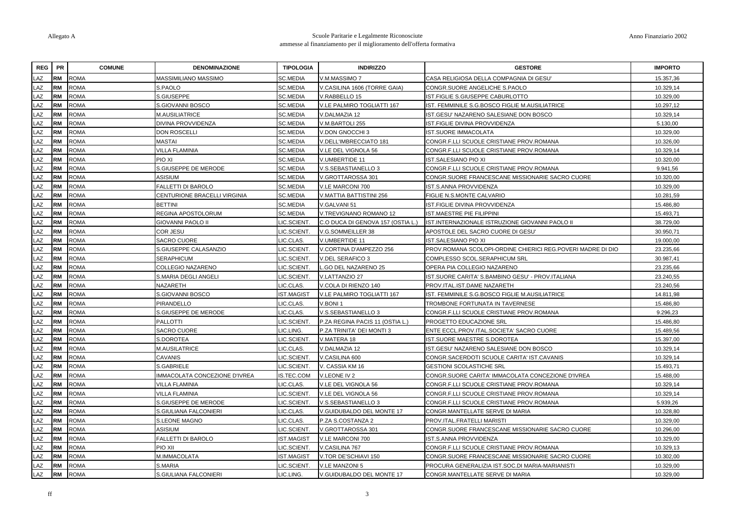| <b>REG</b> | <b>PR</b> | <b>COMUNE</b> | <b>DENOMINAZIONE</b>          | <b>TIPOLOGIA</b>  | <b>INDIRIZZO</b>                  | <b>GESTORE</b>                                              | <b>IMPORTO</b> |
|------------|-----------|---------------|-------------------------------|-------------------|-----------------------------------|-------------------------------------------------------------|----------------|
| .AZ        | <b>RM</b> | roma          | MASSIMILIANO MASSIMO          | <b>SC.MEDIA</b>   | /.M.MASSIMO7                      | CASA RELIGIOSA DELLA COMPAGNIA DI GESU'                     | 15.357,36      |
| LAZ        | <b>RM</b> | <b>ROMA</b>   | S.PAOLO                       | <b>SC.MEDIA</b>   | /.CASILINA 1606 (TORRE GAIA)      | CONGR.SUORE ANGELICHE S.PAOLO                               | 10.329,14      |
| LAZ        | <b>RM</b> | <b>ROMA</b>   | S.GIUSEPPE                    | <b>SC.MEDIA</b>   | V.RABBELLO 15                     | IST.FIGLIE S.GIUSEPPE CABURLOTTO                            | 10.329,00      |
| LAZ        | <b>RM</b> | <b>ROMA</b>   | S.GIOVANNI BOSCO              | SC.MEDIA          | V.LE PALMIRO TOGLIATTI 167        | IST. FEMMINILE S.G.BOSCO FIGLIE M.AUSILIATRICE              | 10.297,12      |
| LAZ        | <b>RM</b> | ROMA          | <b>M.AUSILIATRICE</b>         | <b>SC.MEDIA</b>   | /.DALMAZIA 12                     | IST.GESU' NAZARENO SALESIANE DON BOSCO                      | 10.329,14      |
| LAZ        | <b>RM</b> | <b>ROMA</b>   | DIVINA PROVVIDENZA            | <b>SC.MEDIA</b>   | V.M.BARTOLI 255                   | IST.FIGLIE DIVINA PROVVIDENZA                               | 5.130,00       |
| LAZ        | <b>RM</b> | <b>ROMA</b>   | <b>DON ROSCELLI</b>           | <b>SC.MEDIA</b>   | /.DON GNOCCHI 3                   | <b>IST.SUORE IMMACOLATA</b>                                 | 10.329,00      |
| LAZ        | <b>RM</b> | <b>ROMA</b>   | <b>MASTAI</b>                 | <b>SC.MEDIA</b>   | V.DELL'IMBRECCIATO 181            | CONGR.F.LLI SCUOLE CRISTIANE PROV.ROMANA                    | 10.326,00      |
| LAZ        | <b>RM</b> | <b>ROMA</b>   | <b>VILLA FLAMINIA</b>         | <b>SC.MEDIA</b>   | V.LE DEL VIGNOLA 56               | CONGR.F.LLI SCUOLE CRISTIANE PROV.ROMANA                    | 10.329,14      |
| LAZ        | <b>RM</b> | ROMA          | PIO XI                        | <b>SC.MEDIA</b>   | V.UMBERTIDE 11                    | IST.SALESIANO PIO XI                                        | 10.320,00      |
| LAZ        | <b>RM</b> | <b>ROMA</b>   | S.GIUSEPPE DE MERODE          | <b>SC.MEDIA</b>   | /.S.SEBASTIANELLO 3               | CONGR.F.LLI SCUOLE CRISTIANE PROV.ROMANA                    | 9.941.56       |
| LAZ        | <b>RM</b> | <b>ROMA</b>   | <b>ASISIUM</b>                | <b>SC.MEDIA</b>   | /.GROTTAROSSA 301                 | CONGR.SUORE FRANCESCANE MISSIONARIE SACRO CUORE             | 10.320,00      |
| LAZ        | <b>RM</b> | <b>ROMA</b>   | FALLETTI DI BAROLO            | <b>SC.MEDIA</b>   | V.LE MARCONI 700                  | IST.S.ANNA PROVVIDENZA                                      | 10.329,00      |
| LAZ        | <b>RM</b> | <b>ROMA</b>   | CENTURIONE BRACELLI VIRGINIA  | <b>SC.MEDIA</b>   | V.MATTIA BATTISTINI 256           | FIGLIE N.S.MONTE CALVARIO                                   | 10.281,59      |
| LAZ        | <b>RM</b> | ROMA          | <b>BETTINI</b>                | <b>SC.MEDIA</b>   | /.GALVANI 51                      | IST.FIGLIE DIVINA PROVVIDENZA                               | 15.486,80      |
| LAZ        | <b>RM</b> | ROMA          | REGINA APOSTOLORUM            | <b>SC.MEDIA</b>   | /.TREVIGNANO ROMANO 12            | IST.MAESTRE PIE FILIPPINI                                   | 15.493,71      |
| LAZ        | <b>RM</b> | <b>ROMA</b>   | GIOVANNI PAOLO II             | .IC.SCIENT.       | C.O DUCA DI GENOVA 157 (OSTIA L.) | IST.INTERNAZIONALE ISTRUZIONE GIOVANNI PAOLO II             | 38.729,00      |
| LAZ        | <b>RM</b> | <b>ROMA</b>   | <b>COR JESU</b>               | <b>IC.SCIENT.</b> | V.G.SOMMEILLER 38                 | APOSTOLE DEL SACRO CUORE DI GESU'                           | 30.950,71      |
| LAZ        | <b>RM</b> | ROMA          | <b>SACRO CUORE</b>            | IC.CLAS.          | V.UMBERTIDE 11                    | <b>IST.SALESIANO PIO XI</b>                                 | 19.000,00      |
| LAZ        | <b>RM</b> | AMOS          | S.GIUSEPPE CALASANZIO         | IC.SCIENT.        | V.CORTINA D'AMPEZZO 256           | PROV.ROMANA SCOLOPI-ORDINE CHIERICI REG.POVERI MADRE DI DIO | 23.235,66      |
| LAZ        | <b>RM</b> | ROMA          | <b>SERAPHICUM</b>             | <b>IC.SCIENT.</b> | /.DEL SERAFICO 3                  | COMPLESSO SCOL.SERAPHICUM SRL                               | 30.987,41      |
| LAZ        | <b>RM</b> | ROMA          | COLLEGIO NAZARENO             | .IC.SCIENT.       | .GO DEL NAZARENO 25               | OPERA PIA COLLEGIO NAZARENO                                 | 23.235,66      |
| LAZ        | <b>RM</b> | ROMA          | S.MARIA DEGLI ANGELI          | <b>IC.SCIENT.</b> | V.LATTANZIO 27                    | IST.SUORE CARITA' S.BAMBINO GESU' - PROV.ITALIANA           | 23.240,55      |
| LAZ        | <b>RM</b> | ROMA          | NAZARETH                      | IC.CLAS.          | V.COLA DI RIENZO 140              | PROV.ITAL.IST.DAME NAZARETH                                 | 23.240,56      |
| LAZ        | <b>RM</b> | <b>ROMA</b>   | S.GIOVANNI BOSCO              | ST.MAGIST         | V.LE PALMIRO TOGLIATTI 167        | IST. FEMMINILE S.G.BOSCO FIGLIE M.AUSILIATRICE              | 14.811,98      |
| AZ.        | <b>RM</b> | <b>ROMA</b>   | PIRANDELLO                    | IC.CLAS.          | /.BONI 1                          | TROMBONE FORTUNATA IN TAVERNESE                             | 15.486,80      |
| LAZ        | <b>RM</b> | ROMA          | S.GIUSEPPE DE MERODE          | IC.CLAS.          | V.S.SEBASTIANELLO 3               | CONGR.F.LLI SCUOLE CRISTIANE PROV.ROMANA                    | 9.296,23       |
| LAZ        | <b>RM</b> | <b>ROMA</b>   | <b>PALLOTTI</b>               | <b>IC.SCIENT.</b> | P.ZA REGINA PACIS 11 (OSTIA L.)   | PROGETTO EDUCAZIONE SRL                                     | 15.486,80      |
| LAZ        | <b>RM</b> | <b>ROMA</b>   | SACRO CUORE                   | LIC.LING.         | P.ZA TRINITA' DEI MONTI 3         | ENTE ECCL.PROV.ITAL.SOCIETA' SACRO CUORE                    | 15.489,56      |
| LAZ        | <b>RM</b> | <b>ROMA</b>   | S.DOROTEA                     | IC.SCIENT.        | V.MATERA 18                       | <b>IST.SUORE MAESTRE S.DOROTEA</b>                          | 15.397,00      |
| LAZ        | <b>RM</b> | ROMA          | M.AUSILATRICE                 | IC.CLAS.          | /.DALMAZIA 12                     | IST.GESU' NAZARENO SALESIANE DON BOSCO                      | 10.329,14      |
| LAZ        | <b>RM</b> | <b>ROMA</b>   | CAVANIS                       | <b>IC.SCIENT.</b> | /.CASILINA 600                    | CONGR.SACERDOTI SCUOLE CARITA' IST.CAVANIS                  | 10.329,14      |
| LAZ        | <b>RM</b> | <b>ROMA</b>   | S.GABRIELE                    | <b>IC.SCIENT.</b> | V. CASSIA KM 16                   | <b>GESTIONI SCOLASTICHE SRL</b>                             | 15.493,71      |
| LAZ        | <b>RM</b> | <b>ROMA</b>   | IMMACOLATA CONCEZIONE D'IVREA | IS.TEC.COM        | V.LEONE IV 2                      | CONGR.SUORE CARITA' IMMACOLATA CONCEZIONE D'IVREA           | 15.488,00      |
| LAZ        | <b>RM</b> | <b>ROMA</b>   | VILLA FLAMINIA                | IC.CLAS.          | V.LE DEL VIGNOLA 56               | CONGR.F.LLI SCUOLE CRISTIANE PROV.ROMANA                    | 10.329,14      |
| LAZ        | <b>RM</b> | <b>ROMA</b>   | <b>VILLA FLAMINIA</b>         | LIC.SCIENT.       | V.LE DEL VIGNOLA 56               | CONGR.F.LLI SCUOLE CRISTIANE PROV.ROMANA                    | 10.329,14      |
| LAZ        | <b>RM</b> | ROMA          | S.GIUSEPPE DE MERODE          | <b>IC.SCIENT.</b> | V.S.SEBASTIANELLO 3               | CONGR.F.LLI SCUOLE CRISTIANE PROV.ROMANA                    | 5.939,26       |
| LAZ        | <b>RM</b> | <b>ROMA</b>   | S.GIULIANA FALCONIERI         | LIC.CLAS.         | V.GUIDUBALDO DEL MONTE 17         | CONGR.MANTELLATE SERVE DI MARIA                             | 10.328,80      |
| LAZ        | <b>RM</b> | <b>ROMA</b>   | <b>S.LEONE MAGNO</b>          | <b>IC.CLAS.</b>   | P.ZA S.COSTANZA 2                 | PROV.ITAL.FRATELLI MARISTI                                  | 10.329,00      |
| LAZ        | <b>RM</b> | <b>ROMA</b>   | ASISIUM                       | <b>IC.SCIENT.</b> | V.GROTTAROSSA 301                 | CONGR.SUORE FRANCESCANE MISSIONARIE SACRO CUORE             | 10.296,00      |
| AZ.        | <b>RM</b> | <b>ROMA</b>   | FALLETTI DI BAROLO            | ST.MAGIST         | V.LE MARCONI 700                  | IST.S.ANNA PROVVIDENZA                                      | 10.329,00      |
| LAZ        | <b>RM</b> | ROMA          | PIO XII                       | LIC.SCIENT.       | V.CASILINA 767                    | CONGR.F.LLI SCUOLE CRISTIANE PROV.ROMANA                    | 10.329,13      |
| LAZ        | <b>RM</b> | ROMA          | M.IMMACOLATA                  | <b>IST.MAGIST</b> | V.TOR DE'SCHIAVI 150              | CONGR.SUORE FRANCESCANE MISSIONARIE SACRO CUORE             | 10.302,00      |
| LAZ        | <b>RM</b> | <b>ROMA</b>   | S.MARIA                       | LIC.SCIENT.       | V.LE MANZONI 5                    | PROCURA GENERALIZIA IST.SOC.DI MARIA-MARIANISTI             | 10.329,00      |
| LAZ        | <b>RM</b> | <b>ROMA</b>   | S.GIULIANA FALCONIERI         | IC.LING.          | V.GUIDUBALDO DEL MONTE 17         | CONGR.MANTELLATE SERVE DI MARIA                             | 10.329,00      |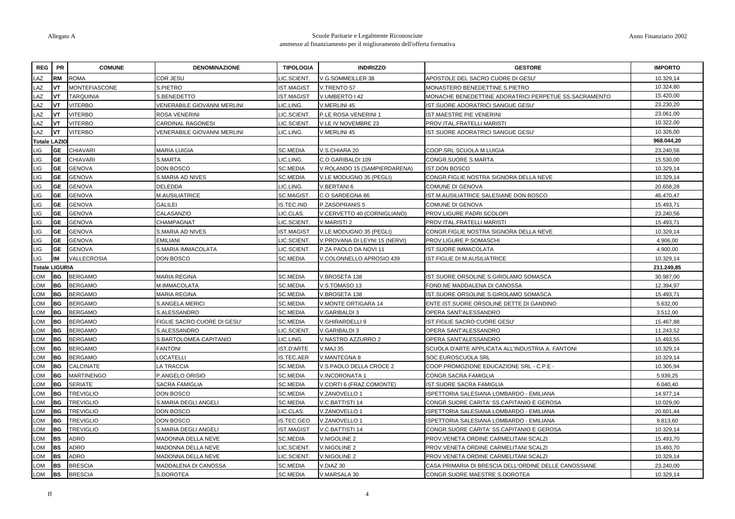| <b>REG</b>            | <b>PR</b>   | <b>COMUNE</b>        | <b>DENOMINAZIONE</b>               | <b>TIPOLOGIA</b>  | <b>INDIRIZZO</b>              | <b>GESTORE</b>                                        | <b>IMPORTO</b> |
|-----------------------|-------------|----------------------|------------------------------------|-------------------|-------------------------------|-------------------------------------------------------|----------------|
| LAZ                   | <b>RM</b>   | <b>ROMA</b>          | COR JESU                           | LIC.SCIENT.       | V.G.SOMMEILLER 38             | APOSTOLE DEL SACRO CUORE DI GESU'                     | 10.329,14      |
| LAZ                   | <b>VT</b>   | <b>MONTEFIASCONE</b> | S.PIETRO                           | <b>IST.MAGIST</b> | V.TRENTO 57                   | MONASTERO BENEDETTINE S.PIETRO                        | 10.324,80      |
| LAZ                   | <b>VT</b>   | <b>TARQUINIA</b>     | S.BENEDETTO                        | <b>IST.MAGIST</b> | V.UMBERTO   42                | MONACHE BENEDETTINE ADORATRICI PERPETUE SS.SACRAMENTO | 15.420,00      |
| LAZ                   | <b>VT</b>   | <b>JITERBO</b>       | <b>VENERABILE GIOVANNI MERLINI</b> | LIC.LING.         | V.MERLINI 45                  | IST.SUORE ADORATRICI SANGUE GESU'                     | 23.230,20      |
| LAZ                   | <b>VT</b>   | <b>JITERBO</b>       | ROSA VENERINI                      | <b>IC.SCIENT.</b> | P.LE ROSA VENERINI 1          | IST.MAESTRE PIE VENERINI                              | 23.061,00      |
| LAZ                   | <b>VT</b>   | <b>JITERBO</b>       | CARDINAL RAGONESI                  | LIC.SCIENT.       | V.LE IV NOVEMBRE 23           | PROV.ITAL.FRATELLI MARISTI                            | 10.322,00      |
| LAZ                   | IvT         | <b>JITERBO</b>       | VENERABILE GIOVANNI MERLINI        | LIC.LING.         | V.MERLINI 45                  | IST.SUORE ADORATRICI SANGUE GESU'                     | 10.326,00      |
| <b>Totale LAZIO</b>   |             |                      |                                    |                   |                               |                                                       | 968.044,20     |
| LIG                   | <b>GE</b>   | <b>CHIAVARI</b>      | MARIA LUIGIA                       | <b>SC.MEDIA</b>   | V.S.CHIARA 20                 | COOP.SRL SCUOLA M.LUIGIA                              | 23.240,56      |
| LIG                   | <b>GE</b>   | CHIAVARI             | S.MARTA                            | LIC.LING.         | C.O GARIBALDI 109             | CONGR.SUORE S.MARTA                                   | 15.530,00      |
| LIG                   | <b>GE</b>   | <b>GENOVA</b>        | DON BOSCO                          | <b>SC.MEDIA</b>   | V.ROLANDO 15 (SAMPIERDARENA)  | <b>IST.DON BOSCO</b>                                  | 10.329,14      |
| LIG                   | <b>GE</b>   | <b>GENOVA</b>        | S.MARIA AD NIVES                   | <b>SC.MEDIA</b>   | V.LE MODUGNO 35 (PEGLI)       | CONGR.FIGLIE NOSTRA SIGNORA DELLA NEVE                | 10.329,14      |
| LIG                   | <b>GE</b>   | <b>GENOVA</b>        | DELEDDA                            | LIC.LING.         | V.BERTANI 6                   | COMUNE DI GENOVA                                      | 20.658,28      |
| LIG                   | <b>GE</b>   | <b>GENOVA</b>        | M.AUSILIATRICE                     | <b>SC.MAGIST</b>  | C.O SARDEGNA 86               | IST.M.AUSILIATRICE SALESIANE DON BOSCO                | 46.470,47      |
| LIG                   | <b>GE</b>   | <b>GENOVA</b>        | GALILEI                            | S.TEC.IND         | P.ZASOPRANIS 5                | COMUNE DI GENOVA                                      | 15.493,71      |
| LIG                   | <b>GE</b>   | <b>GENOVA</b>        | CALASANZIO                         | IC.CLAS.          | V.CERVETTO 40 (CORNIGLIANO)   | PROV.LIGURE PADRI SCOLOPI                             | 23.240,56      |
| LIG                   | <b>GE</b>   | <b>GENOVA</b>        | CHAMPAGNAT                         | LIC.SCIENT.       | V.MARISTI 2                   | PROV.ITAL.FRATELLI MARISTI                            | 15.493,71      |
| LIG                   | <b>GE</b>   | <b>GENOVA</b>        | S.MARIA AD NIVES                   | <b>IST.MAGIST</b> | V.LE MODUGNO 35 (PEGLI)       | CONGR.FIGLIE NOSTRA SIGNORA DELLA NEVE                | 10.329,14      |
| LIG                   | <b>GE</b>   | <b>GENOVA</b>        | <b>EMILIANI</b>                    | LIC.SCIENT.       | V.PROVANA DI LEYNI 15 (NERVI) | PROV.LIGURE P.SOMASCHI                                | 4.906,00       |
| LIG                   | <b>GE</b>   | <b>GENOVA</b>        | S.MARIA IMMACOLATA                 | <b>IC.SCIENT</b>  | P.ZA PAOLO DA NOVI 11         | IST.SUORE IMMACOLATA                                  | 4.900,00       |
| LIG                   | IM          | VALLECROSIA          | <b>DON BOSCO</b>                   | <b>SC.MEDIA</b>   | V.COLONNELLO APROSIO 439      | IST.FIGLIE DI M.AUSILIATRICE                          | 10.329,14      |
| <b>Totale LIGURIA</b> |             |                      |                                    |                   |                               |                                                       | 211.249,85     |
| LOM                   | l BG        | <b>BERGAMO</b>       | <b>MARIA REGINA</b>                | <b>SC.MEDIA</b>   | V.BROSETA 138                 | IST.SUORE ORSOLINE S.GIROLAMO SOMASCA                 | 30.987,00      |
| LOM                   | <b>BG</b>   | <b>BERGAMO</b>       | M.IMMACOLATA                       | <b>SC.MEDIA</b>   | V.S.TOMASO 13                 | FOND.NE MADDALENA DI CANOSSA                          | 12.394,97      |
| LOM                   | IBG.        | <b>BERGAMO</b>       | MARIA REGINA                       | <b>SC.MEDIA</b>   | V.BROSETA 138                 | IST.SUORE ORSOLINE S.GIROLAMO SOMASCA                 | 15.493,71      |
| LOM                   | <b>BG</b>   | <b>BERGAMO</b>       | S.ANGELA MERICI                    | <b>SC.MEDIA</b>   | V.MONTE ORTIGARA 14           | ENTE IST.SUORE ORSOLINE DETTE DI GANDINO              | 5.632,00       |
| <b>LOM</b>            | IBG.        | <b>BERGAMO</b>       | S.ALESSANDRO                       | <b>SC.MEDIA</b>   | V.GARIBALDI 3                 | OPERA SANT'ALESSANDRO                                 | 3.512,00       |
| LOM                   | <b>BG</b>   | <b>BERGAMO</b>       | FIGLIE SACRO CUORE DI GESU'        | <b>SC.MEDIA</b>   | V.GHIRARDELLI 9               | IST.FIGLIE SACRO CUORE GESU'                          | 15.467,88      |
| LOM                   | <b>BG</b>   | <b>BERGAMO</b>       | S.ALESSANDRO                       | LIC.SCIENT.       | V.GARIBALDI 3                 | OPERA SANT'ALESSANDRO                                 | 11.243,52      |
| LOM                   | BG          | <b>BERGAMO</b>       | S.BARTOLOMEA CAPITANIO             | IC.LING.          | V.NASTRO AZZURRO 2            | OPERA SANT'ALESSANDRO                                 | 15.493,55      |
| LOM                   | <b>BG</b>   | <b>BERGAMO</b>       | <b>FANTONI</b>                     | IST.D'ARTE        | V.MAJ 35                      | SCUOLA D'ARTE APPLICATA ALL'INDUSTRIA A. FANTONI      | 10.329,14      |
| LOM                   | IBG.        | <b>BERGAMO</b>       | LOCATELLI                          | IS.TEC.AER        | V.MANTEGNA 8                  | SOC.EUROSCUOLA SRL                                    | 10.329,14      |
| LOM                   | BG          | <b>CALCINATE</b>     | LA TRACCIA                         | <b>SC.MEDIA</b>   | V.S.PAOLO DELLA CROCE 2       | COOP.PROMOZIONE EDUCAZIONE SRL - C.P.E -              | 10.305,94      |
| LOM                   | IBG.        | <b>MARTINENGO</b>    | P.ANGELO ORISIO                    | <b>SC.MEDIA</b>   | V.INCORONATA 1                | CONGR.SACRA FAMIGLIA                                  | 5.939,25       |
| LOM                   | IBG.        | SERIATE              | SACRA FAMIGLIA                     | <b>SC.MEDIA</b>   | V.CORTI 6 (FRAZ.COMONTE)      | IST.SUORE SACRA FAMIGLIA                              | 6.040,40       |
| LOM                   | <b>BG</b>   | <b>TREVIGLIO</b>     | DON BOSCO                          | <b>SC.MEDIA</b>   | V.ZANOVELLO 1                 | ISPETTORIA SALESIANA LOMBARDO - EMILIANA              | 14.977,14      |
| <b>LOM</b>            | IBG.        | <b>TREVIGLIO</b>     | S.MARIA DEGLI ANGELI               | <b>SC.MEDIA</b>   | V.C.BATTISTI 14               | CONGR.SUORE CARITA' SS.CAPITANIO E GEROSA             | 10.029,00      |
| LOM                   | l BG        | <b>TREVIGLIO</b>     | DON BOSCO                          | LIC.CLAS.         | V.ZANOVELLO 1                 | ISPETTORIA SALESIANA LOMBARDO - EMILIANA              | 20.601,44      |
| LOM                   | <b>BG</b>   | <b>TREVIGLIO</b>     | DON BOSCO                          | S.TEC.GEO         | V.ZANOVELLO 1                 | ISPETTORIA SALESIANA LOMBARDO - EMILIANA              | 9.813,60       |
| LOM                   | l BG        | <b>TREVIGLIO</b>     | S.MARIA DEGLI ANGELI               | <b>ST.MAGIST</b>  | V.C.BATTISTI 14               | CONGR.SUORE CARITA' SS.CAPITANIO E GEROSA             | 10.329,14      |
| LOM                   | <b>BS</b>   | <b>ADRO</b>          | MADONNA DELLA NEVE                 | <b>SC.MEDIA</b>   | <b>V.NIGOLINE 2</b>           | PROV.VENETA ORDINE CARMELITANI SCALZI                 | 15.493,70      |
| LOM                   | IBS.        | <b>ADRO</b>          | MADONNA DELLA NEVE                 | LIC.SCIENT.       | V.NIGOLINE 2                  | PROV.VENETA ORDINE CARMELITANI SCALZI                 | 15.493,70      |
| LOM                   | <b>BS</b>   | ADRO                 | MADONNA DELLA NEVE                 | LIC.SCIENT.       | V.NIGOLINE 2                  | PROV.VENETA ORDINE CARMELITANI SCALZI                 | 10.329,14      |
| LOM                   | IBS         | <b>BRESCIA</b>       | MADDALENA DI CANOSSA               | <b>SC.MEDIA</b>   | V.DIAZ 30                     | CASA PRIMARIA DI BRESCIA DELL'ORDINE DELLE CANOSSIANE | 23.240,00      |
| LOM                   | <b>I</b> BS | <b>BRESCIA</b>       | S.DOROTEA                          | <b>SC.MEDIA</b>   | V.MARSALA 30                  | CONGR.SUORE MAESTRE S.DOROTEA                         | 10.329,14      |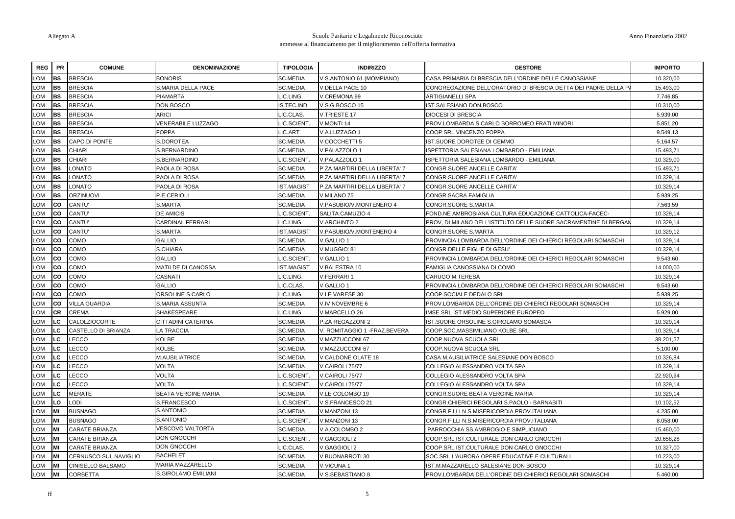| <b>REG</b>      | <b>PR</b> | <b>COMUNE</b>         | <b>DENOMINAZIONE</b>       | <b>TIPOLOGIA</b>  | <b>INDIRIZZO</b>              | <b>GESTORE</b>                                                   | <b>IMPORTO</b> |
|-----------------|-----------|-----------------------|----------------------------|-------------------|-------------------------------|------------------------------------------------------------------|----------------|
| MO.             | <b>BS</b> | <b>BRESCIA</b>        | <b>BONORIS</b>             | <b>SC.MEDIA</b>   | .S.ANTONIO 61 (MOMPIANO)      | CASA PRIMARIA DI BRESCIA DELL'ORDINE DELLE CANOSSIANE            | 10.320.00      |
| MO.             | <b>BS</b> | <b>BRESCIA</b>        | S.MARIA DELLA PACE         | <b>SC.MEDIA</b>   | /.DELLA PACE 10               | CONGREGAZIONE DELL'ORATORIO DI BRESCIA DETTA DEI PADRE DELLA P   | 15.493,00      |
| MO <sub>-</sub> | l BS.     | <b>BRESCIA</b>        | <b>PIAMARTA</b>            | LIC.LING.         | V.CREMONA 99                  | ARTIGIANELLI SPA                                                 | 7.746,85       |
| LOM             | <b>BS</b> | <b>BRESCIA</b>        | DON BOSCO                  | IS.TEC.IND        | V.S.G.BOSCO 15                | IST.SALESIANO DON BOSCO                                          | 10.310,00      |
| .OM             | <b>BS</b> | <b>BRESCIA</b>        | ARICI                      | <b>IC.CLAS.</b>   | V.TRIESTE 17                  | <b>DIOCESI DI BRESCIA</b>                                        | 5.939,00       |
| .OM             | <b>BS</b> | <b>BRESCIA</b>        | <b>VENERABILE LUZZAGO</b>  | <b>IC.SCIENT</b>  | V.MONTI 14                    | PROV.LOMBARDA S.CARLO BORROMEO FRATI MINORI                      | 5.851,20       |
| .OM             | <b>BS</b> | <b>BRESCIA</b>        | <b>FOPPA</b>               | LIC.ART.          | V.A.LUZZAGO 1                 | COOP.SRL VINCENZO FOPPA                                          | 9.549,13       |
| <b>OM</b>       | <b>BS</b> | CAPO DI PONTE         | S.DOROTEA                  | <b>SC.MEDIA</b>   | V.COCCHETTI 5                 | IST.SUORE DOROTEE DI CEMMO                                       | 5.164,57       |
| MO <sub>-</sub> | <b>BS</b> | <b>CHIARI</b>         | S.BERNARDINO               | <b>SC.MEDIA</b>   | V.PALAZZOLO 1                 | ISPETTORIA SALESIANA LOMBARDO - EMILIANA                         | 15.493,71      |
| .OM             | <b>BS</b> | <b>CHIARI</b>         | S.BERNARDINO               | LIC.SCIENT        | V.PALAZZOLO 1                 | ISPETTORIA SALESIANA LOMBARDO - EMILIANA                         | 10.329,00      |
| MO.             | <b>BS</b> | ONATO.                | PAOLA DI ROSA              | <b>SC.MEDIA</b>   | P.ZA MARTIRI DELLA LIBERTA' 7 | CONGR.SUORE ANCELLE CARITA'                                      | 15.493,71      |
| MO.             | <b>BS</b> | OTANO.                | PAOLA DI ROSA              | SC.MEDIA          | P.ZA MARTIRI DELLA LIBERTA' 7 | CONGR.SUORE ANCELLE CARITA'                                      | 10.329,14      |
| MO <sub>-</sub> | <b>BS</b> | LONATO                | PAOLA DI ROSA              | <b>IST.MAGIST</b> | P.ZA MARTIRI DELLA LIBERTA' 7 | CONGR.SUORE ANCELLE CARITA'                                      | 10.329,14      |
| MO <sub>-</sub> | <b>BS</b> | <b>ORZINUOVI</b>      | P.E.CERIOLI                | <b>SC.MEDIA</b>   | V.MILANO 75                   | CONGR.SACRA FAMIGLIA                                             | 5.939,25       |
| MO.             | co        | CANTU'                | S.MARTA                    | <b>SC.MEDIA</b>   | V.PASUBIO/V.MONTENERO 4       | CONGR.SUORE S.MARTA                                              | 7.563,59       |
| .OM             | <b>CO</b> | CANTU'                | <b>DE AMICIS</b>           | LIC.SCIENT        | SALITA CAMUZIO 4              | FOND.NE AMBROSIANA CULTURA EDUCAZIONE CATTOLICA-FACEC-           | 10.329,14      |
| .OM             | co        | CANTU'                | CARDINAL FERRARI           | LIC.LING.         | V.ARCHINTO 2                  | PROV, DI MILANO DELL'ISTITUTO DELLE SUORE SACRAMENTINE DI BERGAN | 10.329,14      |
| <b>OM</b>       | lco.      | CANTU'                | S.MARTA                    | <b>IST.MAGIST</b> | V.PASUBIO/V.MONTENERO 4       | CONGR.SUORE S.MARTA                                              | 10.329,12      |
| MO <sub>-</sub> | <b>CO</b> | COMO                  | GALLIO                     | <b>SC.MEDIA</b>   | V.GALLIO 1                    | PROVINCIA LOMBARDA DELL'ORDINE DEI CHIERICI REGOLARI SOMASCHI    | 10.329,14      |
| MO.             | co        | COMO                  | S.CHIARA                   | <b>SC.MEDIA</b>   | V.MUGGIO' 81                  | CONGR.DELLE FIGLIE DI GESU'                                      | 10.329,14      |
| .OM             | co        | COMO                  | GALLIO                     | LIC.SCIENT.       | V.GALLIO 1                    | PROVINCIA LOMBARDA DELL'ORDINE DEI CHIERICI REGOLARI SOMASCHI    | 9.543,60       |
| .OM             | <b>CO</b> | COMO                  | <b>MATILDE DI CANOSSA</b>  | IST.MAGIST        | <b>BALESTRA 10</b>            | FAMIGLIA CANOSSIANA DI COMO                                      | 14.000,00      |
| MO <sub>-</sub> | <b>CO</b> | COMO                  | CASNATI                    | LIC.LING.         | V.FERRARI 1                   | CARUGO M.TERESA                                                  | 10.329,14      |
| MO <sub>-</sub> | <b>CO</b> | COMO                  | <b>GALLIO</b>              | LIC.CLAS.         | V.GALLIO 1                    | PROVINCIA LOMBARDA DELL'ORDINE DEI CHIERICI REGOLARI SOMASCHI    | 9.543,60       |
| MO.             | co        | COMO                  | ORSOLINE S.CARLO           | LIC.LING.         | V.LE VARESE 30                | COOP.SOCIALE DEDALO SRL                                          | 5.939,25       |
| .OM             | <b>CO</b> | <b>VILLA GUARDIA</b>  | S.MARIA ASSUNTA            | <b>SC.MEDIA</b>   | V.IV NOVEMBRE 6               | PROV.LOMBARDA DELL'ORDINE DEI CHIERICI REGOLARI SOMASCHI         | 10.329,14      |
| _OM             | <b>CR</b> | <b>CREMA</b>          | SHAKESPEARE                | LIC.LING.         | V.MARCELLO 26                 | IMSE SRL IST.MEDIO SUPERIORE EUROPEO                             | 5.929,00       |
| <b>OM</b>       | LC.       | <b>CALOLZIOCORTE</b>  | CITTADINI CATERINA         | SC.MEDIA          | P.ZA REGAZZONI 2              | IST.SUORE ORSOLINE S.GIROLAMO SOMASCA                            | 10.329,14      |
| .OM             | LC        | CASTELLO DI BRIANZA   | A TRACCIA                  | <b>SC.MEDIA</b>   | V. ROMITAGGIO 1 - FRAZ.BEVERA | COOP.SOC.MASSIMILIANO KOLBE SRL                                  | 10.329,14      |
| .OM             | -C        | LECCO                 | KOLBE                      | <b>SC.MEDIA</b>   | V.MAZZUCCONI 67               | COOP.NUOVA SCUOLA SRL                                            | 38.201,57      |
| .OM             | C.        | LECCO                 | KOLBE                      | SC.MEDIA          | V.MAZZUCCONI 67               | COOP.NUOVA SCUOLA SRL                                            | 5.100,00       |
| .OM             | C.        | LECCO                 | M.AUSILIATRICE             | SC.MEDIA          | V.CALDONE OLATE 18            | CASA M.AUSILIATRICE SALESIANE DON BOSCO                          | 10.326,84      |
| .OM             | LC.       | LECCO                 | VOLTA                      | <b>SC.MEDIA</b>   | V.CAIROLI 75/77               | COLLEGIO ALESSANDRO VOLTA SPA                                    | 10.329,14      |
| MO <sub>-</sub> | C.        | LECCO                 | VOLTA                      | <b>IC.SCIENT</b>  | V.CAIROLI 75/77               | COLLEGIO ALESSANDRO VOLTA SPA                                    | 22.920,94      |
| <b>OM</b>       | .C        | LECCO                 | VOLTA                      | LIC.SCIENT.       | V.CAIROLI 75/77               | COLLEGIO ALESSANDRO VOLTA SPA                                    | 10.329,14      |
| .OM             | C.        | <b>MERATE</b>         | <b>BEATA VERGINE MARIA</b> | <b>SC.MEDIA</b>   | V.LE COLOMBO 19               | CONGR.SUORE BEATA VERGINE MARIA                                  | 10.329,14      |
| <b>OM</b>       | LO        | LODI                  | S.FRANCESCO                | <b>IC.SCIENT</b>  | V.S.FRANCESCO 21              | CONGR.CHIERICI REGOLARI S.PAOLO - BARNABITI                      | 10.102,52      |
| .OM             | MI        | <b>BUSNAGO</b>        | S.ANTONIO                  | <b>SC.MEDIA</b>   | V.MANZONI 13                  | CONGR.F.LLI N.S.MISERICORDIA PROV.ITALIANA                       | 4.235,00       |
| MO.             | MI        | <b>BUSNAGO</b>        | S.ANTONIO                  | <b>IC.SCIENT</b>  | V.MANZONI 13                  | CONGR.F.LLI N.S.MISERICORDIA PROV.ITALIANA                       | 8.058,00       |
| MO.             | MI        | <b>CARATE BRIANZA</b> | VESCOVO VALTORTA           | <b>SC.MEDIA</b>   | V.A.COLOMBO 2                 | PARROCCHIA SS.AMBROGIO E SIMPLICIANO                             | 15.460,00      |
| MO.             |           | <b>CARATE BRIANZA</b> | <b>DON GNOCCHI</b>         | <b>IC.SCIENT</b>  | V.GAGGIOLI 2                  | COOP.SRL IST.CULTURALE DON CARLO GNOCCHI                         | 20.658,28      |
| _OM             | MI        | <b>CARATE BRIANZA</b> | DON GNOCCHI                | LIC.CLAS.         | V.GAGGIOLI 2                  | COOP.SRL IST.CULTURALE DON CARLO GNOCCHI                         | 10.327,00      |
| <b>OM</b>       | MI        | CERNUSCO SUL NAVIGLIO | <b>BACHELET</b>            | <b>SC.MEDIA</b>   | /.BUONARROTI 30               | SOC.SRL L'AURORA OPERE EDUCATIVE E CULTURALI                     | 10.223,00      |
| MO <sub>-</sub> | MI        | CINISELLO BALSAMO     | MARIA MAZZARELLO           | <b>SC.MEDIA</b>   | V.VICUNA 1                    | IST.M.MAZZARELLO SALESIANE DON BOSCO                             | 10.329,14      |
| LOM             | MI        | <b>CORBETTA</b>       | S.GIROLAMO EMILIANI        | <b>SC.MEDIA</b>   | V.S.SEBASTIANO 8              | PROV.LOMBARDA DELL'ORDINE DEI CHIERICI REGOLARI SOMASCHI         | 5.460,00       |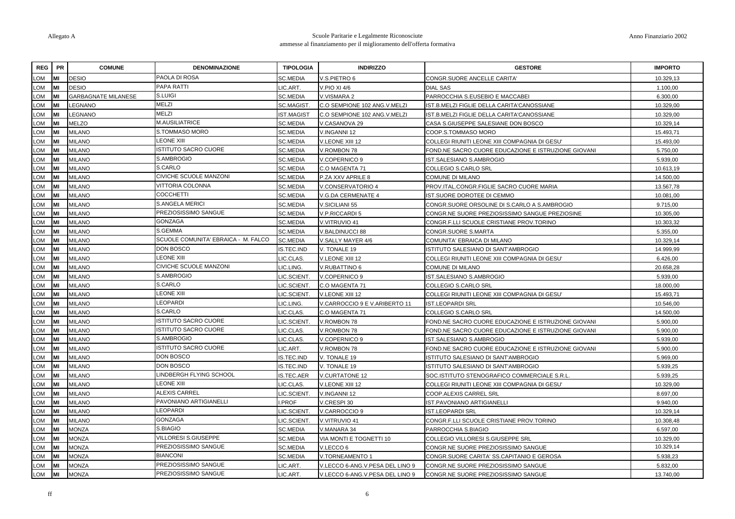| DESIO<br><b>DESIO</b><br><b>GARBAGNATE MILANESE</b><br>LEGNANO                                                                                                                                                                                                                                                                                                              | PAOLA DI ROSA<br>PAPA RATTI | SC.MEDIA                                                                                                                                                                                                                                                                                                                                                                                                                                                                                                                                                                                                                                                                                                                                                                                                                                                          | /.S.PIETRO 6                                                                                                                                                                                                                                                                                                                                                                                                       | CONGR.SUORE ANCELLE CARITA'                                                                                                                                                                                                                                                                                                                                                                                                                                      |                                                                                                                                                                                                                                                                                                                                                                                                                                                                                                                                                                                                                                                                                                                                                                                                                                                                                                       |
|-----------------------------------------------------------------------------------------------------------------------------------------------------------------------------------------------------------------------------------------------------------------------------------------------------------------------------------------------------------------------------|-----------------------------|-------------------------------------------------------------------------------------------------------------------------------------------------------------------------------------------------------------------------------------------------------------------------------------------------------------------------------------------------------------------------------------------------------------------------------------------------------------------------------------------------------------------------------------------------------------------------------------------------------------------------------------------------------------------------------------------------------------------------------------------------------------------------------------------------------------------------------------------------------------------|--------------------------------------------------------------------------------------------------------------------------------------------------------------------------------------------------------------------------------------------------------------------------------------------------------------------------------------------------------------------------------------------------------------------|------------------------------------------------------------------------------------------------------------------------------------------------------------------------------------------------------------------------------------------------------------------------------------------------------------------------------------------------------------------------------------------------------------------------------------------------------------------|-------------------------------------------------------------------------------------------------------------------------------------------------------------------------------------------------------------------------------------------------------------------------------------------------------------------------------------------------------------------------------------------------------------------------------------------------------------------------------------------------------------------------------------------------------------------------------------------------------------------------------------------------------------------------------------------------------------------------------------------------------------------------------------------------------------------------------------------------------------------------------------------------------|
|                                                                                                                                                                                                                                                                                                                                                                             |                             |                                                                                                                                                                                                                                                                                                                                                                                                                                                                                                                                                                                                                                                                                                                                                                                                                                                                   |                                                                                                                                                                                                                                                                                                                                                                                                                    |                                                                                                                                                                                                                                                                                                                                                                                                                                                                  | 10.329,13                                                                                                                                                                                                                                                                                                                                                                                                                                                                                                                                                                                                                                                                                                                                                                                                                                                                                             |
|                                                                                                                                                                                                                                                                                                                                                                             |                             | LIC.ART.                                                                                                                                                                                                                                                                                                                                                                                                                                                                                                                                                                                                                                                                                                                                                                                                                                                          | /.PIO XI 4/6                                                                                                                                                                                                                                                                                                                                                                                                       | <b>DIAL SAS</b>                                                                                                                                                                                                                                                                                                                                                                                                                                                  | 1.100,00                                                                                                                                                                                                                                                                                                                                                                                                                                                                                                                                                                                                                                                                                                                                                                                                                                                                                              |
|                                                                                                                                                                                                                                                                                                                                                                             | S.LUIGI                     | <b>SC.MEDIA</b>                                                                                                                                                                                                                                                                                                                                                                                                                                                                                                                                                                                                                                                                                                                                                                                                                                                   | V.VISMARA 2                                                                                                                                                                                                                                                                                                                                                                                                        | PARROCCHIA S.EUSEBIO E MACCABEI                                                                                                                                                                                                                                                                                                                                                                                                                                  | 6.300,00                                                                                                                                                                                                                                                                                                                                                                                                                                                                                                                                                                                                                                                                                                                                                                                                                                                                                              |
|                                                                                                                                                                                                                                                                                                                                                                             | <b>MELZI</b>                | SC.MAGIST.                                                                                                                                                                                                                                                                                                                                                                                                                                                                                                                                                                                                                                                                                                                                                                                                                                                        | C.O SEMPIONE 102 ANG.V.MELZI                                                                                                                                                                                                                                                                                                                                                                                       | IST.B.MELZI FIGLIE DELLA CARITA'CANOSSIANE                                                                                                                                                                                                                                                                                                                                                                                                                       | 10.329,00                                                                                                                                                                                                                                                                                                                                                                                                                                                                                                                                                                                                                                                                                                                                                                                                                                                                                             |
| <b>EGNANO</b>                                                                                                                                                                                                                                                                                                                                                               |                             | <b>ST.MAGIST</b>                                                                                                                                                                                                                                                                                                                                                                                                                                                                                                                                                                                                                                                                                                                                                                                                                                                  | C.O SEMPIONE 102 ANG.V.MELZI                                                                                                                                                                                                                                                                                                                                                                                       | IST.B.MELZI FIGLIE DELLA CARITA'CANOSSIANE                                                                                                                                                                                                                                                                                                                                                                                                                       | 10.329,00                                                                                                                                                                                                                                                                                                                                                                                                                                                                                                                                                                                                                                                                                                                                                                                                                                                                                             |
| <b>MELZO</b>                                                                                                                                                                                                                                                                                                                                                                |                             |                                                                                                                                                                                                                                                                                                                                                                                                                                                                                                                                                                                                                                                                                                                                                                                                                                                                   | /.CASANOVA 29                                                                                                                                                                                                                                                                                                                                                                                                      | CASA S.GIUSEPPE SALESIANE DON BOSCO                                                                                                                                                                                                                                                                                                                                                                                                                              | 10.329,14                                                                                                                                                                                                                                                                                                                                                                                                                                                                                                                                                                                                                                                                                                                                                                                                                                                                                             |
| <b>MILANO</b>                                                                                                                                                                                                                                                                                                                                                               |                             | <b>SC.MEDIA</b>                                                                                                                                                                                                                                                                                                                                                                                                                                                                                                                                                                                                                                                                                                                                                                                                                                                   | /.INGANNI 12                                                                                                                                                                                                                                                                                                                                                                                                       | COOP.S.TOMMASO MORO                                                                                                                                                                                                                                                                                                                                                                                                                                              | 15.493,71                                                                                                                                                                                                                                                                                                                                                                                                                                                                                                                                                                                                                                                                                                                                                                                                                                                                                             |
| <b>MILANO</b>                                                                                                                                                                                                                                                                                                                                                               |                             | <b>SC.MEDIA</b>                                                                                                                                                                                                                                                                                                                                                                                                                                                                                                                                                                                                                                                                                                                                                                                                                                                   | V.LEONE XIII 12                                                                                                                                                                                                                                                                                                                                                                                                    | COLLEGI RIUNITI LEONE XIII COMPAGNIA DI GESU                                                                                                                                                                                                                                                                                                                                                                                                                     | 15.493,00                                                                                                                                                                                                                                                                                                                                                                                                                                                                                                                                                                                                                                                                                                                                                                                                                                                                                             |
| <b>MILANO</b>                                                                                                                                                                                                                                                                                                                                                               |                             |                                                                                                                                                                                                                                                                                                                                                                                                                                                                                                                                                                                                                                                                                                                                                                                                                                                                   | /.ROMBON 78                                                                                                                                                                                                                                                                                                                                                                                                        | FOND.NE SACRO CUORE EDUCAZIONE E ISTRUZIONE GIOVANI                                                                                                                                                                                                                                                                                                                                                                                                              | 5.750,00                                                                                                                                                                                                                                                                                                                                                                                                                                                                                                                                                                                                                                                                                                                                                                                                                                                                                              |
| <b>MILANO</b>                                                                                                                                                                                                                                                                                                                                                               |                             | <b>SC.MEDIA</b>                                                                                                                                                                                                                                                                                                                                                                                                                                                                                                                                                                                                                                                                                                                                                                                                                                                   | /.COPERNICO 9                                                                                                                                                                                                                                                                                                                                                                                                      | <b>IST.SALESIANO S.AMBROGIO</b>                                                                                                                                                                                                                                                                                                                                                                                                                                  | 5.939,00                                                                                                                                                                                                                                                                                                                                                                                                                                                                                                                                                                                                                                                                                                                                                                                                                                                                                              |
| <b>MILANO</b>                                                                                                                                                                                                                                                                                                                                                               |                             | <b>SC.MEDIA</b>                                                                                                                                                                                                                                                                                                                                                                                                                                                                                                                                                                                                                                                                                                                                                                                                                                                   | C.O MAGENTA 71                                                                                                                                                                                                                                                                                                                                                                                                     | COLLEGIO S.CARLO SRL                                                                                                                                                                                                                                                                                                                                                                                                                                             | 10.613,19                                                                                                                                                                                                                                                                                                                                                                                                                                                                                                                                                                                                                                                                                                                                                                                                                                                                                             |
| <b>MILANO</b>                                                                                                                                                                                                                                                                                                                                                               |                             | <b>SC.MEDIA</b>                                                                                                                                                                                                                                                                                                                                                                                                                                                                                                                                                                                                                                                                                                                                                                                                                                                   | P.ZA XXV APRILE 8                                                                                                                                                                                                                                                                                                                                                                                                  | COMUNE DI MILANO                                                                                                                                                                                                                                                                                                                                                                                                                                                 | 14.500,00                                                                                                                                                                                                                                                                                                                                                                                                                                                                                                                                                                                                                                                                                                                                                                                                                                                                                             |
| <b>MILANO</b>                                                                                                                                                                                                                                                                                                                                                               |                             | <b>SC.MEDIA</b>                                                                                                                                                                                                                                                                                                                                                                                                                                                                                                                                                                                                                                                                                                                                                                                                                                                   | V.CONSERVATORIO 4                                                                                                                                                                                                                                                                                                                                                                                                  | PROV.ITAL.CONGR.FIGLIE SACRO CUORE MARIA                                                                                                                                                                                                                                                                                                                                                                                                                         | 13.567,78                                                                                                                                                                                                                                                                                                                                                                                                                                                                                                                                                                                                                                                                                                                                                                                                                                                                                             |
| <b>MILANO</b>                                                                                                                                                                                                                                                                                                                                                               |                             | <b>SC.MEDIA</b>                                                                                                                                                                                                                                                                                                                                                                                                                                                                                                                                                                                                                                                                                                                                                                                                                                                   | V.G.DA CERMENATE 4                                                                                                                                                                                                                                                                                                                                                                                                 | IST.SUORE DOROTEE DI CEMMO                                                                                                                                                                                                                                                                                                                                                                                                                                       | 10.081,00                                                                                                                                                                                                                                                                                                                                                                                                                                                                                                                                                                                                                                                                                                                                                                                                                                                                                             |
| <b>MILANO</b>                                                                                                                                                                                                                                                                                                                                                               |                             | <b>SC.MEDIA</b>                                                                                                                                                                                                                                                                                                                                                                                                                                                                                                                                                                                                                                                                                                                                                                                                                                                   | /.SICILIANI 55                                                                                                                                                                                                                                                                                                                                                                                                     | CONGR.SUORE ORSOLINE DI S.CARLO A S.AMBROGIO                                                                                                                                                                                                                                                                                                                                                                                                                     | 9.715,00                                                                                                                                                                                                                                                                                                                                                                                                                                                                                                                                                                                                                                                                                                                                                                                                                                                                                              |
| <b>MILANO</b>                                                                                                                                                                                                                                                                                                                                                               |                             | <b>SC.MEDIA</b>                                                                                                                                                                                                                                                                                                                                                                                                                                                                                                                                                                                                                                                                                                                                                                                                                                                   | /.P.RICCARDI 5                                                                                                                                                                                                                                                                                                                                                                                                     | CONGR.NE SUORE PREZIOSISSIMO SANGUE PREZIOSINE                                                                                                                                                                                                                                                                                                                                                                                                                   | 10.305,00                                                                                                                                                                                                                                                                                                                                                                                                                                                                                                                                                                                                                                                                                                                                                                                                                                                                                             |
| <b>MILANO</b>                                                                                                                                                                                                                                                                                                                                                               |                             | SC.MEDIA                                                                                                                                                                                                                                                                                                                                                                                                                                                                                                                                                                                                                                                                                                                                                                                                                                                          | V.VITRUVIO 41                                                                                                                                                                                                                                                                                                                                                                                                      | CONGR.F.LLI SCUOLE CRISTIANE PROV.TORINO                                                                                                                                                                                                                                                                                                                                                                                                                         | 10.303,32                                                                                                                                                                                                                                                                                                                                                                                                                                                                                                                                                                                                                                                                                                                                                                                                                                                                                             |
| <b>MILANO</b>                                                                                                                                                                                                                                                                                                                                                               |                             | <b>SC.MEDIA</b>                                                                                                                                                                                                                                                                                                                                                                                                                                                                                                                                                                                                                                                                                                                                                                                                                                                   | /.BALDINUCCI 88                                                                                                                                                                                                                                                                                                                                                                                                    | CONGR.SUORE S.MARTA                                                                                                                                                                                                                                                                                                                                                                                                                                              | 5.355,00                                                                                                                                                                                                                                                                                                                                                                                                                                                                                                                                                                                                                                                                                                                                                                                                                                                                                              |
| MILANO                                                                                                                                                                                                                                                                                                                                                                      |                             |                                                                                                                                                                                                                                                                                                                                                                                                                                                                                                                                                                                                                                                                                                                                                                                                                                                                   | /.SALLY MAYER 4/6                                                                                                                                                                                                                                                                                                                                                                                                  | COMUNITA' EBRAICA DI MILANO                                                                                                                                                                                                                                                                                                                                                                                                                                      | 10.329,14                                                                                                                                                                                                                                                                                                                                                                                                                                                                                                                                                                                                                                                                                                                                                                                                                                                                                             |
| <b>MILANO</b>                                                                                                                                                                                                                                                                                                                                                               |                             | S.TEC.IND                                                                                                                                                                                                                                                                                                                                                                                                                                                                                                                                                                                                                                                                                                                                                                                                                                                         | V. TONALE 19                                                                                                                                                                                                                                                                                                                                                                                                       | <b>ISTITUTO SALESIANO DI SANT'AMBROGIO</b>                                                                                                                                                                                                                                                                                                                                                                                                                       | 14.999,99                                                                                                                                                                                                                                                                                                                                                                                                                                                                                                                                                                                                                                                                                                                                                                                                                                                                                             |
| <b>MILANO</b>                                                                                                                                                                                                                                                                                                                                                               |                             | <b>IC.CLAS</b>                                                                                                                                                                                                                                                                                                                                                                                                                                                                                                                                                                                                                                                                                                                                                                                                                                                    | /.LEONE XIII 12                                                                                                                                                                                                                                                                                                                                                                                                    | COLLEGI RIUNITI LEONE XIII COMPAGNIA DI GESU                                                                                                                                                                                                                                                                                                                                                                                                                     | 6.426,00                                                                                                                                                                                                                                                                                                                                                                                                                                                                                                                                                                                                                                                                                                                                                                                                                                                                                              |
|                                                                                                                                                                                                                                                                                                                                                                             |                             | LIC.LING.                                                                                                                                                                                                                                                                                                                                                                                                                                                                                                                                                                                                                                                                                                                                                                                                                                                         | /.RUBATTINO 6                                                                                                                                                                                                                                                                                                                                                                                                      | COMUNE DI MILANO                                                                                                                                                                                                                                                                                                                                                                                                                                                 | 20.658,28                                                                                                                                                                                                                                                                                                                                                                                                                                                                                                                                                                                                                                                                                                                                                                                                                                                                                             |
|                                                                                                                                                                                                                                                                                                                                                                             |                             |                                                                                                                                                                                                                                                                                                                                                                                                                                                                                                                                                                                                                                                                                                                                                                                                                                                                   |                                                                                                                                                                                                                                                                                                                                                                                                                    |                                                                                                                                                                                                                                                                                                                                                                                                                                                                  | 5.939,00                                                                                                                                                                                                                                                                                                                                                                                                                                                                                                                                                                                                                                                                                                                                                                                                                                                                                              |
|                                                                                                                                                                                                                                                                                                                                                                             |                             |                                                                                                                                                                                                                                                                                                                                                                                                                                                                                                                                                                                                                                                                                                                                                                                                                                                                   |                                                                                                                                                                                                                                                                                                                                                                                                                    |                                                                                                                                                                                                                                                                                                                                                                                                                                                                  | 18.000,00                                                                                                                                                                                                                                                                                                                                                                                                                                                                                                                                                                                                                                                                                                                                                                                                                                                                                             |
|                                                                                                                                                                                                                                                                                                                                                                             |                             |                                                                                                                                                                                                                                                                                                                                                                                                                                                                                                                                                                                                                                                                                                                                                                                                                                                                   |                                                                                                                                                                                                                                                                                                                                                                                                                    |                                                                                                                                                                                                                                                                                                                                                                                                                                                                  | 15.493,71                                                                                                                                                                                                                                                                                                                                                                                                                                                                                                                                                                                                                                                                                                                                                                                                                                                                                             |
|                                                                                                                                                                                                                                                                                                                                                                             |                             |                                                                                                                                                                                                                                                                                                                                                                                                                                                                                                                                                                                                                                                                                                                                                                                                                                                                   |                                                                                                                                                                                                                                                                                                                                                                                                                    |                                                                                                                                                                                                                                                                                                                                                                                                                                                                  | 10.546,00                                                                                                                                                                                                                                                                                                                                                                                                                                                                                                                                                                                                                                                                                                                                                                                                                                                                                             |
|                                                                                                                                                                                                                                                                                                                                                                             |                             |                                                                                                                                                                                                                                                                                                                                                                                                                                                                                                                                                                                                                                                                                                                                                                                                                                                                   |                                                                                                                                                                                                                                                                                                                                                                                                                    |                                                                                                                                                                                                                                                                                                                                                                                                                                                                  | 14.500.00                                                                                                                                                                                                                                                                                                                                                                                                                                                                                                                                                                                                                                                                                                                                                                                                                                                                                             |
|                                                                                                                                                                                                                                                                                                                                                                             |                             |                                                                                                                                                                                                                                                                                                                                                                                                                                                                                                                                                                                                                                                                                                                                                                                                                                                                   |                                                                                                                                                                                                                                                                                                                                                                                                                    |                                                                                                                                                                                                                                                                                                                                                                                                                                                                  | 5.900.00                                                                                                                                                                                                                                                                                                                                                                                                                                                                                                                                                                                                                                                                                                                                                                                                                                                                                              |
|                                                                                                                                                                                                                                                                                                                                                                             |                             |                                                                                                                                                                                                                                                                                                                                                                                                                                                                                                                                                                                                                                                                                                                                                                                                                                                                   |                                                                                                                                                                                                                                                                                                                                                                                                                    |                                                                                                                                                                                                                                                                                                                                                                                                                                                                  | 5.900,00                                                                                                                                                                                                                                                                                                                                                                                                                                                                                                                                                                                                                                                                                                                                                                                                                                                                                              |
|                                                                                                                                                                                                                                                                                                                                                                             |                             |                                                                                                                                                                                                                                                                                                                                                                                                                                                                                                                                                                                                                                                                                                                                                                                                                                                                   |                                                                                                                                                                                                                                                                                                                                                                                                                    |                                                                                                                                                                                                                                                                                                                                                                                                                                                                  | 5.939,00                                                                                                                                                                                                                                                                                                                                                                                                                                                                                                                                                                                                                                                                                                                                                                                                                                                                                              |
|                                                                                                                                                                                                                                                                                                                                                                             |                             |                                                                                                                                                                                                                                                                                                                                                                                                                                                                                                                                                                                                                                                                                                                                                                                                                                                                   |                                                                                                                                                                                                                                                                                                                                                                                                                    |                                                                                                                                                                                                                                                                                                                                                                                                                                                                  | 5.900,00                                                                                                                                                                                                                                                                                                                                                                                                                                                                                                                                                                                                                                                                                                                                                                                                                                                                                              |
|                                                                                                                                                                                                                                                                                                                                                                             |                             |                                                                                                                                                                                                                                                                                                                                                                                                                                                                                                                                                                                                                                                                                                                                                                                                                                                                   |                                                                                                                                                                                                                                                                                                                                                                                                                    |                                                                                                                                                                                                                                                                                                                                                                                                                                                                  | 5.969.00                                                                                                                                                                                                                                                                                                                                                                                                                                                                                                                                                                                                                                                                                                                                                                                                                                                                                              |
|                                                                                                                                                                                                                                                                                                                                                                             |                             |                                                                                                                                                                                                                                                                                                                                                                                                                                                                                                                                                                                                                                                                                                                                                                                                                                                                   |                                                                                                                                                                                                                                                                                                                                                                                                                    |                                                                                                                                                                                                                                                                                                                                                                                                                                                                  | 5.939,25                                                                                                                                                                                                                                                                                                                                                                                                                                                                                                                                                                                                                                                                                                                                                                                                                                                                                              |
|                                                                                                                                                                                                                                                                                                                                                                             |                             |                                                                                                                                                                                                                                                                                                                                                                                                                                                                                                                                                                                                                                                                                                                                                                                                                                                                   |                                                                                                                                                                                                                                                                                                                                                                                                                    |                                                                                                                                                                                                                                                                                                                                                                                                                                                                  | 5.939,25<br>10.329,00                                                                                                                                                                                                                                                                                                                                                                                                                                                                                                                                                                                                                                                                                                                                                                                                                                                                                 |
|                                                                                                                                                                                                                                                                                                                                                                             |                             |                                                                                                                                                                                                                                                                                                                                                                                                                                                                                                                                                                                                                                                                                                                                                                                                                                                                   |                                                                                                                                                                                                                                                                                                                                                                                                                    |                                                                                                                                                                                                                                                                                                                                                                                                                                                                  | 8.697,00                                                                                                                                                                                                                                                                                                                                                                                                                                                                                                                                                                                                                                                                                                                                                                                                                                                                                              |
|                                                                                                                                                                                                                                                                                                                                                                             |                             |                                                                                                                                                                                                                                                                                                                                                                                                                                                                                                                                                                                                                                                                                                                                                                                                                                                                   |                                                                                                                                                                                                                                                                                                                                                                                                                    |                                                                                                                                                                                                                                                                                                                                                                                                                                                                  | 9.940,00                                                                                                                                                                                                                                                                                                                                                                                                                                                                                                                                                                                                                                                                                                                                                                                                                                                                                              |
|                                                                                                                                                                                                                                                                                                                                                                             |                             |                                                                                                                                                                                                                                                                                                                                                                                                                                                                                                                                                                                                                                                                                                                                                                                                                                                                   |                                                                                                                                                                                                                                                                                                                                                                                                                    |                                                                                                                                                                                                                                                                                                                                                                                                                                                                  | 10.329,14                                                                                                                                                                                                                                                                                                                                                                                                                                                                                                                                                                                                                                                                                                                                                                                                                                                                                             |
|                                                                                                                                                                                                                                                                                                                                                                             |                             |                                                                                                                                                                                                                                                                                                                                                                                                                                                                                                                                                                                                                                                                                                                                                                                                                                                                   |                                                                                                                                                                                                                                                                                                                                                                                                                    |                                                                                                                                                                                                                                                                                                                                                                                                                                                                  | 10.308,48                                                                                                                                                                                                                                                                                                                                                                                                                                                                                                                                                                                                                                                                                                                                                                                                                                                                                             |
|                                                                                                                                                                                                                                                                                                                                                                             |                             |                                                                                                                                                                                                                                                                                                                                                                                                                                                                                                                                                                                                                                                                                                                                                                                                                                                                   |                                                                                                                                                                                                                                                                                                                                                                                                                    |                                                                                                                                                                                                                                                                                                                                                                                                                                                                  | 6.597,00                                                                                                                                                                                                                                                                                                                                                                                                                                                                                                                                                                                                                                                                                                                                                                                                                                                                                              |
|                                                                                                                                                                                                                                                                                                                                                                             |                             |                                                                                                                                                                                                                                                                                                                                                                                                                                                                                                                                                                                                                                                                                                                                                                                                                                                                   |                                                                                                                                                                                                                                                                                                                                                                                                                    |                                                                                                                                                                                                                                                                                                                                                                                                                                                                  | 10.329,00                                                                                                                                                                                                                                                                                                                                                                                                                                                                                                                                                                                                                                                                                                                                                                                                                                                                                             |
|                                                                                                                                                                                                                                                                                                                                                                             |                             |                                                                                                                                                                                                                                                                                                                                                                                                                                                                                                                                                                                                                                                                                                                                                                                                                                                                   |                                                                                                                                                                                                                                                                                                                                                                                                                    |                                                                                                                                                                                                                                                                                                                                                                                                                                                                  | 10.329,14                                                                                                                                                                                                                                                                                                                                                                                                                                                                                                                                                                                                                                                                                                                                                                                                                                                                                             |
|                                                                                                                                                                                                                                                                                                                                                                             |                             |                                                                                                                                                                                                                                                                                                                                                                                                                                                                                                                                                                                                                                                                                                                                                                                                                                                                   |                                                                                                                                                                                                                                                                                                                                                                                                                    |                                                                                                                                                                                                                                                                                                                                                                                                                                                                  | 5.938,23                                                                                                                                                                                                                                                                                                                                                                                                                                                                                                                                                                                                                                                                                                                                                                                                                                                                                              |
|                                                                                                                                                                                                                                                                                                                                                                             |                             |                                                                                                                                                                                                                                                                                                                                                                                                                                                                                                                                                                                                                                                                                                                                                                                                                                                                   |                                                                                                                                                                                                                                                                                                                                                                                                                    |                                                                                                                                                                                                                                                                                                                                                                                                                                                                  | 5.832,00                                                                                                                                                                                                                                                                                                                                                                                                                                                                                                                                                                                                                                                                                                                                                                                                                                                                                              |
|                                                                                                                                                                                                                                                                                                                                                                             |                             |                                                                                                                                                                                                                                                                                                                                                                                                                                                                                                                                                                                                                                                                                                                                                                                                                                                                   |                                                                                                                                                                                                                                                                                                                                                                                                                    |                                                                                                                                                                                                                                                                                                                                                                                                                                                                  | 13.740,00                                                                                                                                                                                                                                                                                                                                                                                                                                                                                                                                                                                                                                                                                                                                                                                                                                                                                             |
| <b>MILANO</b><br><b>MILANO</b><br>MILANO<br><b>MILANO</b><br><b>MILANO</b><br><b>MILANO</b><br><b>MILANO</b><br><b>MILANO</b><br><b>MILANO</b><br><b>MILANO</b><br><b>MILANO</b><br><b>MILANO</b><br><b>MILANO</b><br><b>MILANO</b><br><b>MILANO</b><br><b>MILANO</b><br><b>MILANO</b><br><b>MILANO</b><br>MONZA<br><b>MONZA</b><br>MONZA<br>MONZA<br>MONZA<br><b>MONZA</b> |                             | <b>MELZI</b><br>M.AUSILIATRICE<br>S.TOMMASO MORO<br><b>LEONE XIII</b><br><b>ISTITUTO SACRO CUORE</b><br>S.AMBROGIO<br>S.CARLO<br>CIVICHE SCUOLE MANZONI<br>VITTORIA COLONNA<br><b>COCCHETTI</b><br><b>S.ANGELA MERICI</b><br>PREZIOSISSIMO SANGUE<br><b>GONZAGA</b><br>S.GEMMA<br>SCUOLE COMUNITA' EBRAICA - M. FALCO<br>DON BOSCO<br><b>LEONE XIII</b><br>CIVICHE SCUOLE MANZONI<br>S.AMBROGIO<br>S.CARLO<br>LEONE XIII<br><b>LEOPARDI</b><br>S.CARLO<br><b>ISTITUTO SACRO CUORE</b><br><b>ISTITUTO SACRO CUORE</b><br>S.AMBROGIO<br><b>ISTITUTO SACRO CUORE</b><br><b>DON BOSCO</b><br>DON BOSCO<br>LINDBERGH FLYING SCHOOL<br><b>LEONE XIII</b><br><b>ALEXIS CARREL</b><br>PAVONIANO ARTIGIANELLI<br>LEOPARDI<br><b>GONZAGA</b><br>S.BIAGIO<br>VILLORESI S.GIUSEPPE<br>PREZIOSISSIMO SANGUE<br><b>BIANCONI</b><br>PREZIOSISSIMO SANGUE<br>PREZIOSISSIMO SANGUE | <b>SC.MEDIA</b><br><b>SC.MEDIA</b><br><b>SC.MEDIA</b><br>LIC.SCIENT.<br>LIC.SCIENT.<br>LIC.SCIENT.<br>LIC.LING.<br>LIC.CLAS.<br>LIC.SCIENT.<br>LIC.CLAS.<br><b>IC.CLAS</b><br>IC.ART.<br>S.TEC.IND<br><b>IS.TEC.IND</b><br><b>IS.TEC.AER</b><br>LIC.CLAS.<br>LIC.SCIENT.<br>PROF<br>LIC.SCIENT.<br>LIC.SCIENT.<br><b>SC.MEDIA</b><br><b>SC.MEDIA</b><br><b>SC.MEDIA</b><br><b>SC.MEDIA</b><br>LIC.ART.<br>LIC.ART. | V.COPERNICO 9<br>C.O MAGENTA 71<br>V.LEONE XIII 12<br>/.CARROCCIO 9 E V.ARIBERTO 11<br>C.O MAGENTA 71<br>V.ROMBON 78<br>/.ROMBON 78<br>/.COPERNICO 9<br>/.ROMBON 78<br>/. TONALE 19<br>V. TONALE 19<br>/.CURTATONE 12<br>V.LEONE XIII 12<br>/.INGANNI 12<br>/.CRESPI 30<br>V.CARROCCIO 9<br>V.VITRUVIO 41<br><b>J.MANARA 34</b><br>VIA MONTI E TOGNETTI 10<br>V.LECCO 6<br>V.TORNEAMENTO 1<br>V.LECCO 6-ANG.V.PESA DEL LINO 9<br>V.LECCO 6-ANG.V.PESA DEL LINO 9 | IST.SALESIANO S.AMBROGIO<br>COLLEGIO S.CARLO SRL<br>COLLEGI RIUNITI LEONE XIII COMPAGNIA DI GESU<br><b>IST.LEOPARDI SRL</b><br><b>COLLEGIO S.CARLO SRL</b><br>FOND.NE SACRO CUORE EDUCAZIONE E ISTRUZIONE GIOVANI<br>FOND.NE SACRO CUORE EDUCAZIONE E ISTRUZIONE GIOVANI<br>IST.SALESIANO S.AMBROGIO<br>FOND.NE SACRO CUORE EDUCAZIONE E ISTRUZIONE GIOVANI<br>ISTITUTO SALESIANO DI SANT'AMBROGIO<br>ISTITUTO SALESIANO DI SANT'AMBROGIO<br>SOC.ISTITUTO STENOGRAFICO COMMERCIALE S.R.L<br>COLLEGI RIUNITI LEONE XIII COMPAGNIA DI GESU<br>COOP.ALEXIS CARREL SRL<br>IST.PAVONIANO ARTIGIANELLI<br><b>IST.LEOPARDI SRL</b><br>CONGR.F.LLI SCUOLE CRISTIANE PROV.TORINO<br>PARROCCHIA S.BIAGIO<br>COLLEGIO VILLORESI S.GIUSEPPE SRL<br>CONGR.NE SUORE PREZIOSISSIMO SANGUE<br>CONGR.SUORE CARITA' SS.CAPITANIO E GEROSA<br>CONGR.NE SUORE PREZIOSISSIMO SANGUE<br>CONGR.NE SUORE PREZIOSISSIMO SANGUE |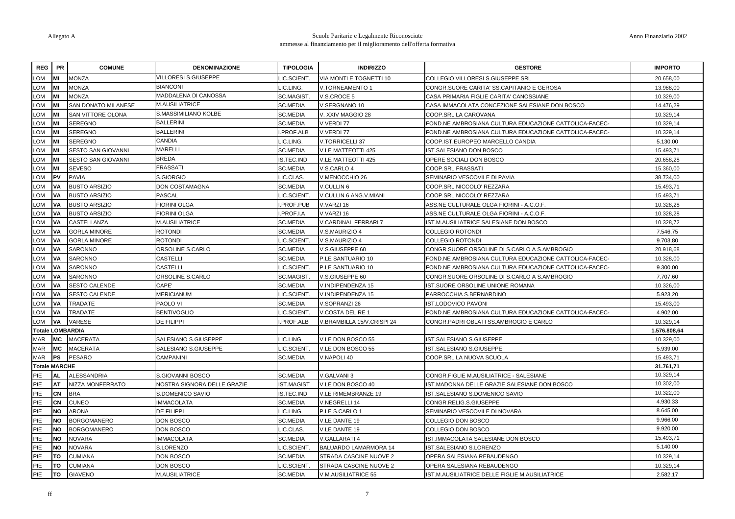| <b>REG</b>           | <b>PR</b> | <b>COMUNE</b>           | <b>DENOMINAZIONE</b>        | <b>TIPOLOGIA</b>  | <b>INDIRIZZO</b>           | <b>GESTORE</b>                                         | <b>IMPORTO</b> |
|----------------------|-----------|-------------------------|-----------------------------|-------------------|----------------------------|--------------------------------------------------------|----------------|
| MO.                  |           | MONZA                   | <b>VILLORESI S.GIUSEPPE</b> | <b>IC.SCIENT.</b> | /IA MONTI E TOGNETTI 10    | COLLEGIO VILLORESI S.GIUSEPPE SRL                      | 20.658,00      |
| .OM                  | MI        | <b>MONZA</b>            | <b>BIANCONI</b>             | LIC.LING          | /.TORNEAMENTO 1            | CONGR.SUORE CARITA' SS.CAPITANIO E GEROSA              | 13.988,00      |
| MO.                  | MI        | <b>MONZA</b>            | MADDALENA DI CANOSSA        | SC.MAGIST.        | V.S.CROCE 5                | CASA PRIMARIA FIGLIE CARITA' CANOSSIANE                | 10.329,00      |
| MO.                  | MI        | SAN DONATO MILANESE     | <b>M.AUSILIATRICE</b>       | <b>SC.MEDIA</b>   | V.SERGNANO 10              | CASA IMMACOLATA CONCEZIONE SALESIANE DON BOSCO         | 14.476,29      |
| MO.                  | MI        | SAN VITTORE OLONA       | S.MASSIMILIANO KOLBE        | SC.MEDIA          | /. XXIV MAGGIO 28          | COOP.SRL LA CAROVANA                                   | 10.329,14      |
| MO.                  |           | <b>SEREGNO</b>          | <b>BALLERINI</b>            | <b>SC.MEDIA</b>   | V.VERDI 77                 | FOND.NE AMBROSIANA CULTURA EDUCAZIONE CATTOLICA-FACEC- | 10.329,14      |
| MO.                  | MI        | <b>SEREGNO</b>          | <b>BALLERINI</b>            | PROF.ALB          | V.VERDI 77                 | FOND.NE AMBROSIANA CULTURA EDUCAZIONE CATTOLICA-FACEC- | 10.329,14      |
| MO.                  | MI        | <b>SEREGNO</b>          | <b>CANDIA</b>               | LIC.LING.         | V.TORRICELLI 37            | COOP.IST.EUROPEO MARCELLO CANDIA                       | 5.130,00       |
| MO.                  | MI        | SESTO SAN GIOVANNI      | <b>MARELLI</b>              | <b>SC.MEDIA</b>   | V.LE MATTEOTTI 425         | IST SALESIANO DON BOSCO                                | 15.493,71      |
| MO.                  |           | SESTO SAN GIOVANNI      | <b>BREDA</b>                | <b>IS.TEC.IND</b> | V.LE MATTEOTTI 425         | OPERE SOCIALI DON BOSCO                                | 20.658,28      |
| MO.                  | <b>MI</b> | <b>SEVESO</b>           | <b>FRASSATI</b>             | <b>SC.MEDIA</b>   | V.S.CARLO 4                | COOP.SRL FRASSATI                                      | 15.360,00      |
| MO.                  | <b>PV</b> | <b>PAVIA</b>            | S.GIORGIO                   | LIC.CLAS.         | /.MENOCCHIO 26             | SEMINARIO VESCOVILE DI PAVIA                           | 38.734,00      |
| MO.                  | <b>VA</b> | <b>BUSTO ARSIZIO</b>    | DON COSTAMAGNA              | <b>SC.MEDIA</b>   | V.CULLIN 6                 | COOP.SRL NICCOLO' REZZARA                              | 15.493,71      |
| LOM                  | VA        | <b>BUSTO ARSIZIO</b>    | PASCAL                      | LIC.SCIENT.       | V.CULLIN 6 ANG.V.MIANI     | COOP.SRL NICCOLO' REZZARA                              | 15.493,71      |
| MO.                  | VA        | <b>BUSTO ARSIZIO</b>    | FIORINI OLGA                | PROF.PUB          | V.VARZI 16                 | ASS.NE CULTURALE OLGA FIORINI - A.C.O.F.               | 10.328,28      |
| MO.                  | VA        | <b>BUSTO ARSIZIO</b>    | <b>FIORINI OLGA</b>         | PROF.I.A          | V.VARZI 16                 | ASS.NE CULTURALE OLGA FIORINI - A.C.O.F.               | 10.328,28      |
| MO.                  | VA        | CASTELLANZA             | <b>M.AUSILIATRICE</b>       | SC.MEDIA          | /.CARDINAL FERRARI 7       | IST.M.AUSILIATRICE SALESIANE DON BOSCO                 | 10.328,72      |
| .OM                  | VA        | <b>GORLA MINORE</b>     | <b>ROTONDI</b>              | <b>SC.MEDIA</b>   | V.S.MAURIZIO 4             | <b>COLLEGIO ROTONDI</b>                                | 7.546,75       |
| MO.                  | <b>VA</b> | <b>GORLA MINORE</b>     | <b>ROTONDI</b>              | <b>IC.SCIENT.</b> | V.S.MAURIZIO 4             | <b>COLLEGIO ROTONDI</b>                                | 9.703,80       |
| MO.                  | VA        | SARONNO                 | ORSOLINE S.CARLO            | <b>SC.MEDIA</b>   | /.S.GIUSEPPE 60            | CONGR.SUORE ORSOLINE DI S.CARLO A S.AMBROGIO           | 20.918,68      |
| MO.                  | VA        | SARONNO                 | CASTELLI                    | <b>SC.MEDIA</b>   | P.LE SANTUARIO 10          | FOND.NE AMBROSIANA CULTURA EDUCAZIONE CATTOLICA-FACEC- | 10.328,00      |
| MO.                  | VA        | SARONNO                 | <b>CASTELLI</b>             | .IC.SCIENT.       | P.LE SANTUARIO 10          | FOND.NE AMBROSIANA CULTURA EDUCAZIONE CATTOLICA-FACEC- | 9.300,00       |
| MO.                  | VA        | <b>SARONNO</b>          | ORSOLINE S.CARLO            | SC.MAGIST.        | V.S.GIUSEPPE 60            | CONGR.SUORE ORSOLINE DI S.CARLO A S.AMBROGIO           | 7.707,60       |
| MO.                  | <b>VA</b> | <b>SESTO CALENDE</b>    | CAPE'                       | <b>SC.MEDIA</b>   | V.INDIPENDENZA 15          | IST.SUORE ORSOLINE UNIONE ROMANA                       | 10.326,00      |
| MO.                  | VA        | <b>SESTO CALENDE</b>    | <b>MERICIANUM</b>           | <b>IC.SCIENT</b>  | V.INDIPENDENZA 15          | PARROCCHIA S.BERNARDINO                                | 5.923,20       |
| MO.                  | <b>VA</b> | TRADATE                 | PAOLO VI                    | <b>SC.MEDIA</b>   | /.SOPRANZI 26              | <b>IST.LODOVICO PAVONI</b>                             | 15.493,00      |
| MO.                  | <b>VA</b> | TRADATE                 | <b>BENTIVOGLIO</b>          | <b>IC.SCIENT</b>  | /.COSTA DEL RE 1           | FOND.NE AMBROSIANA CULTURA EDUCAZIONE CATTOLICA-FACEC- | 4.902,00       |
| MO.                  | VA        | <b>VARESE</b>           | DE FILIPPI                  | I.PROF.ALB        | /.BRAMBILLA 15/V.CRISPI 24 | CONGR.PADRI OBLATI SS.AMBROGIO E CARLO                 | 10.329,14      |
|                      |           | <b>Totale LOMBARDIA</b> |                             |                   |                            |                                                        | 1.576.808,64   |
| MAR                  | MC        | <b>MACERATA</b>         | SALESIANO S.GIUSEPPE        | <b>IC.LING.</b>   | V.LE DON BOSCO 55          | IST.SALESIANO S.GIUSEPPE                               | 10.329,00      |
| <b>MAR</b>           | <b>MC</b> | <b>MACERATA</b>         | SALESIANO S.GIUSEPPE        | <b>IC.SCIENT</b>  | V.LE DON BOSCO 55          | IST.SALESIANO S.GIUSEPPE                               | 5.939,00       |
| MAR                  | <b>PS</b> | <b>PESARO</b>           | CAMPANINI                   | <b>SC.MEDIA</b>   | /.NAPOLI 40                | COOP.SRL LA NUOVA SCUOLA                               | 15.493,71      |
| <b>Totale MARCHE</b> |           |                         |                             |                   |                            |                                                        | 31.761,71      |
| PIE                  | AL        | <b>ALESSANDRIA</b>      | S.GIOVANNI BOSCO            | <b>SC.MEDIA</b>   | V.GALVANI 3                | CONGR.FIGLIE M.AUSILIATRICE - SALESIANE                | 10.329,14      |
| PIE                  | AT        | NIZZA MONFERRATO        | NOSTRA SIGNORA DELLE GRAZIE | <b>IST.MAGIST</b> | V.LE DON BOSCO 40          | IST.MADONNA DELLE GRAZIE SALESIANE DON BOSCO           | 10.302,00      |
| PIE                  | CN        | <b>BRA</b>              | S.DOMENICO SAVIO            | IS.TEC.IND        | V.LE RIMEMBRANZE 19        | IST.SALESIANO S.DOMENICO SAVIO                         | 10.322,00      |
| PIE                  | CN        | <b>CUNEO</b>            | <b>IMMACOLATA</b>           | <b>SC.MEDIA</b>   | V.NEGRELLI 14              | CONGR.RELIG.S.GIUSEPPE                                 | 4.930.33       |
| PIE                  | <b>NO</b> | <b>ARONA</b>            | DE FILIPPI                  | LIC.LING.         | P.LE S.CARLO 1             | SEMINARIO VESCOVILE DI NOVARA                          | 8.645,00       |
| PIE                  | <b>NO</b> | <b>BORGOMANERO</b>      | DON BOSCO                   | <b>SC.MEDIA</b>   | V.LE DANTE 19              | COLLEGIO DON BOSCO                                     | 9.966,00       |
| PIE                  | <b>NO</b> | <b>BORGOMANERO</b>      | DON BOSCO                   | <b>IC.CLAS.</b>   | V.LE DANTE 19              | COLLEGIO DON BOSCO                                     | 9.920,00       |
| PIE                  | <b>NO</b> | <b>NOVARA</b>           | <b>IMMACOLATA</b>           | <b>SC.MEDIA</b>   | /.GALLARATI 4              | IST.IMMACOLATA SALESIANE DON BOSCO                     | 15.493,71      |
| PIE                  | <b>NO</b> | NOVARA                  | S.LORENZO                   | LIC.SCIENT.       | BALUARDO LAMARMORA 14      | IST.SALESIANO S.LORENZO                                | 5.140,00       |
| PIE                  | <b>TO</b> | CUMIANA                 | DON BOSCO                   | <b>SC.MEDIA</b>   | STRADA CASCINE NUOVE 2     | OPERA SALESIANA REBAUDENGO                             | 10.329,14      |
| PIE                  | <b>TO</b> | <b>CUMIANA</b>          | DON BOSCO                   | LIC.SCIENT.       | STRADA CASCINE NUOVE 2     | OPERA SALESIANA REBAUDENGO                             | 10.329,14      |
| PIE                  | TO        | <b>GIAVENO</b>          | M.AUSILIATRICE              | <b>SC.MEDIA</b>   | V.M.AUSILIATRICE 55        | IST.M.AUSILIATRICE DELLE FIGLIE M.AUSILIATRICE         | 2.582,17       |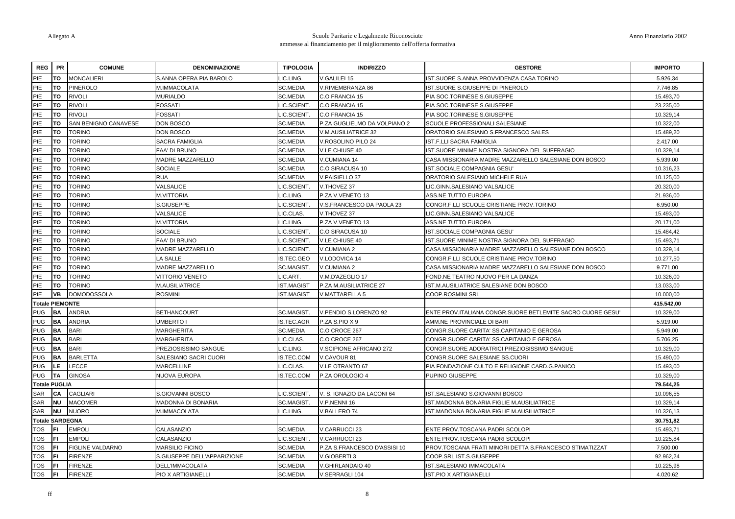| <b>REG</b>             | <b>PR</b> | <b>COMUNE</b>        | <b>DENOMINAZIONE</b>        | <b>TIPOLOGIA</b>  | <b>INDIRIZZO</b>             | <b>GESTORE</b>                                            | <b>IMPORTO</b> |
|------------------------|-----------|----------------------|-----------------------------|-------------------|------------------------------|-----------------------------------------------------------|----------------|
| PIE                    | TΩ        | <b>MONCALIERI</b>    | S.ANNA OPERA PIA BAROLO     | IC.LING.          | /.GALILEI 15                 | IST.SUORE S.ANNA PROVVIDENZA CASA TORINO                  | 5.926,34       |
| PIE                    | TO        | PINEROLO             | M.IMMACOLATA                | <b>SC.MEDIA</b>   | /.RIMEMBRANZA 86             | IST.SUORE S.GIUSEPPE DI PINEROLO                          | 7.746,85       |
| PIE                    | <b>TO</b> | <b>RIVOLI</b>        | <b>MURIALDO</b>             | <b>SC.MEDIA</b>   | C.O FRANCIA 15               | PIA SOC.TORINESE S.GIUSEPPE                               | 15.493,70      |
| PIE                    | <b>TO</b> | <b>RIVOLI</b>        | <b>FOSSATI</b>              | <b>IC.SCIENT.</b> | C.O FRANCIA 15               | PIA SOC.TORINESE S.GIUSEPPE                               | 23.235,00      |
| PIE                    | <b>TO</b> | <b>RIVOLI</b>        | <b>FOSSATI</b>              | IC.SCIENT         | C.O FRANCIA 15               | PIA SOC.TORINESE S.GIUSEPPE                               | 10.329,14      |
| PIE                    | TO        | SAN BENIGNO CANAVESE | DON BOSCO                   | <b>SC.MEDIA</b>   | P.ZA GUGLIELMO DA VOLPIANO 2 | SCUOLE PROFESSIONALI SALESIANE                            | 10.322,00      |
| PIE                    | TO        | <b>TORINO</b>        | DON BOSCO                   | <b>SC.MEDIA</b>   | <b>/.M.AUSILIATRICE 32</b>   | ORATORIO SALESIANO S.FRANCESCO SALES                      | 15.489,20      |
| PIE                    | TO        | <b>TORINO</b>        | SACRA FAMIGLIA              | <b>SC.MEDIA</b>   | /.ROSOLINO PILO 24           | IST.F.LLI SACRA FAMIGLIA                                  | 2.417,00       |
| PIE                    | <b>TO</b> | <b>TORINO</b>        | FAA' DI BRUNO               | <b>SC.MEDIA</b>   | V.LE CHIUSE 40               | IST.SUORE MINIME NOSTRA SIGNORA DEL SUFFRAGIO             | 10.329,14      |
| PIE                    | TO        | <b>TORINO</b>        | MADRE MAZZARELLO            | <b>SC.MEDIA</b>   | V.CUMIANA 14                 | CASA MISSIONARIA MADRE MAZZARELLO SALESIANE DON BOSCO     | 5.939,00       |
| PIE                    | TO        | <b>TORINO</b>        | <b>SOCIALE</b>              | <b>SC.MEDIA</b>   | C.O SIRACUSA 10              | IST.SOCIALE COMPAGNIA GESU'                               | 10.316,23      |
| PIE                    | TO        | <b>TORINO</b>        | <b>RUA</b>                  | SC.MEDIA          | V.PAISIELLO 37               | ORATORIO SALESIANO MICHELE RUA                            | 10.125,00      |
| PIE                    | TO        | <b>TORINO</b>        | VALSALICE                   | <b>IC.SCIENT.</b> | V.THOVEZ 37                  | LIC.GINN.SALESIANO VALSALICE                              | 20.320.00      |
| PIE                    | TO        | <b>TORINO</b>        | M.VITTORIA                  | IC.LING.          | P.ZA V.VENETO 13             | ASS.NE TUTTO EUROPA                                       | 21.936,00      |
| PIE                    | <b>TO</b> | <b>TORINO</b>        | S.GIUSEPPE                  | IC.SCIENT.        | V.S.FRANCESCO DA PAOLA 23    | CONGR.F.LLI SCUOLE CRISTIANE PROV.TORINO                  | 6.950,00       |
| PIE                    | <b>TO</b> | <b>TORINO</b>        | VALSALICE                   | IC.CLAS.          | V.THOVEZ 37                  | LIC.GINN.SALESIANO VALSALICE                              | 15.493,00      |
| PIE                    | TO        | <b>TORINO</b>        | <b>M.VITTORIA</b>           | IC.LING.          | P.ZA V.VENETO 13             | <b>ASS.NE TUTTO EUROPA</b>                                | 20.171.00      |
| PIE                    | TO        | <b>TORINO</b>        | <b>SOCIALE</b>              | IC.SCIENT.        | C.O SIRACUSA 10              | IST.SOCIALE COMPAGNIA GESU'                               | 15.484,42      |
| PIE                    | <b>TO</b> | <b>TORINO</b>        | FAA' DI BRUNO               | IC.SCIENT.        | V.LE CHIUSE 40               | IST.SUORE MINIME NOSTRA SIGNORA DEL SUFFRAGIO             | 15.493,71      |
| PIE                    | TO        | <b>TORINO</b>        | MADRE MAZZARELLO            | IC.SCIENT.        | V.CUMIANA 2                  | CASA MISSIONARIA MADRE MAZZARELLO SALESIANE DON BOSCO     | 10.329,14      |
| PIE                    | <b>TO</b> | <b>TORINO</b>        | LA SALLE                    | S.TEC.GEO         | V.LODOVICA 14                | CONGR.F.LLI SCUOLE CRISTIANE PROV.TORINO                  | 10.277,50      |
| PIE                    | <b>TO</b> | <b>TORINO</b>        | MADRE MAZZARELLO            | <b>SC.MAGIST</b>  | V.CUMIANA 2                  | CASA MISSIONARIA MADRE MAZZARELLO SALESIANE DON BOSCO     | 9.771,00       |
| PIE                    | TO        | <b>TORINO</b>        | <b>VITTORIO VENETO</b>      | IC.ART.           | V.M.D'AZEGLIO 17             | FOND.NE TEATRO NUOVO PER LA DANZA                         | 10.326,00      |
| PIE                    | TO        | <b>TORINO</b>        | M.AUSILIATRICE              | ST.MAGIST         | P.ZA M.AUSILIATRICE 27       | IST.M.AUSILIATRICE SALESIANE DON BOSCO                    | 13.033,00      |
| PIE                    | <b>VB</b> | <b>DOMODOSSOLA</b>   | <b>ROSMINI</b>              | ST.MAGIST         | V.MATTARELLA 5               | COOP.ROSMINI SRL                                          | 10.000,00      |
| <b>Totale PIEMONTE</b> |           |                      |                             |                   |                              |                                                           | 415.542,00     |
| <b>PUG</b>             | <b>BA</b> | <b>ANDRIA</b>        | <b>BETHANCOURT</b>          | SC.MAGIST.        | /.PENDIO S.LORENZO 92        | ENTE PROV.ITALIANA CONGR.SUORE BETLEMITE SACRO CUORE GESU | 10.329,00      |
| PUG                    | BA        | <b>ANDRIA</b>        | <b>UMBERTO I</b>            | S.TEC.AGR         | P.ZA S.PIO X 9               | AMM.NE PROVINCIALE DI BARI                                | 5.919.00       |
| <b>PUG</b>             | <b>BA</b> | <b>BARI</b>          | MARGHERITA                  | SC.MEDIA          | C.O CROCE 267                | CONGR.SUORE CARITA' SS.CAPITANIO E GEROSA                 | 5.949,00       |
| <b>PUG</b>             | <b>BA</b> | <b>BARI</b>          | <b>MARGHERITA</b>           | <b>IC.CLAS</b>    | C.O CROCE 267                | CONGR.SUORE CARITA' SS.CAPITANIO E GEROSA                 | 5.706,25       |
| <b>PUG</b>             | <b>BA</b> | <b>BARI</b>          | PREZIOSISSIMO SANGUE        | IC.LING.          | V.SCIPIONE AFRICANO 272      | CONGR.SUORE ADORATRICI PREZIOSISSIMO SANGUE               | 10.329,00      |
| <b>PUG</b>             | <b>BA</b> | <b>BARLETTA</b>      | SALESIANO SACRI CUORI       | S.TEC.COM         | V.CAVOUR 81                  | CONGR.SUORE SALESIANE SS.CUORI                            | 15.490,00      |
| <b>PUG</b>             | LE.       | LECCE                | <b>MARCELLINE</b>           | IC.CLAS.          | V.LE OTRANTO 67              | PIA FONDAZIONE CULTO E RELIGIONE CARD.G.PANICO            | 15.493,00      |
| <b>PUG</b>             | <b>TA</b> | <b>GINOSA</b>        | NUOVA EUROPA                | S.TEC.COM         | P.ZA OROLOGIO 4              | PUPINO GIUSEPPE                                           | 10.329.00      |
| <b>Totale PUGLIA</b>   |           |                      |                             |                   |                              |                                                           | 79.544,25      |
| SAR                    | <b>CA</b> | CAGLIARI             | S.GIOVANNI BOSCO            | IC.SCIENT.        | V. S. IGNAZIO DA LACONI 64   | IST.SALESIANO S.GIOVANNI BOSCO                            | 10.096,55      |
| <b>SAR</b>             | <b>NU</b> | <b>MACOMER</b>       | MADONNA DI BONARIA          | SC.MAGIST.        | V.P.NENNI 16                 | IST.MADONNA BONARIA FIGLIE M.AUSILIATRICE                 | 10.329,14      |
| <b>SAR</b>             | <b>NU</b> | <b>NUORO</b>         | M.IMMACOLATA                | IC.LING.          | /.BALLERO 74                 | IST.MADONNA BONARIA FIGLIE M.AUSILIATRICE                 | 10.326,13      |
| <b>Totale SARDEGNA</b> |           |                      |                             |                   |                              |                                                           | 30.751.82      |
| <b>TOS</b>             | ΙFΙ       | <b>EMPOLI</b>        | CALASANZIO                  | <b>SC.MEDIA</b>   | V.CARRUCCI 23                | ENTE PROV.TOSCANA PADRI SCOLOPI                           | 15.493,71      |
| <b>TOS</b>             | FI        | <b>EMPOLI</b>        | CALASANZIO                  | IC.SCIENT.        | V.CARRUCCI 23                | ENTE PROV.TOSCANA PADRI SCOLOPI                           | 10.225,84      |
| <b>TOS</b>             | FI        | FIGLINE VALDARNO     | MARSILIO FICINO             | <b>SC.MEDIA</b>   | P.ZA S.FRANCESCO D'ASSISI 10 | PROV.TOSCANA FRATI MINORI DETTA S.FRANCESCO STIMATIZZAT   | 7.500,00       |
| <b>TOS</b>             |           | <b>FIRENZE</b>       | S.GIUSEPPE DELL'APPARIZIONE | <b>SC.MEDIA</b>   | <b>/.GIOBERTI3</b>           | COOP.SRL IST.S.GIUSEPPE                                   | 92.962.24      |
| <b>TOS</b>             | FI        | FIRENZE              | DELL'IMMACOLATA             | SC.MEDIA          | /.GHIRLANDAIO 40             | IST.SALESIANO IMMACOLATA                                  | 10.225,98      |
| TOS                    | [FI]      | <b>FIRENZE</b>       | <b>PIO X ARTIGIANELLI</b>   | <b>SC.MEDIA</b>   | /.SERRAGLI 104               | <b>IST.PIO X ARTIGIANELLI</b>                             | 4.020.62       |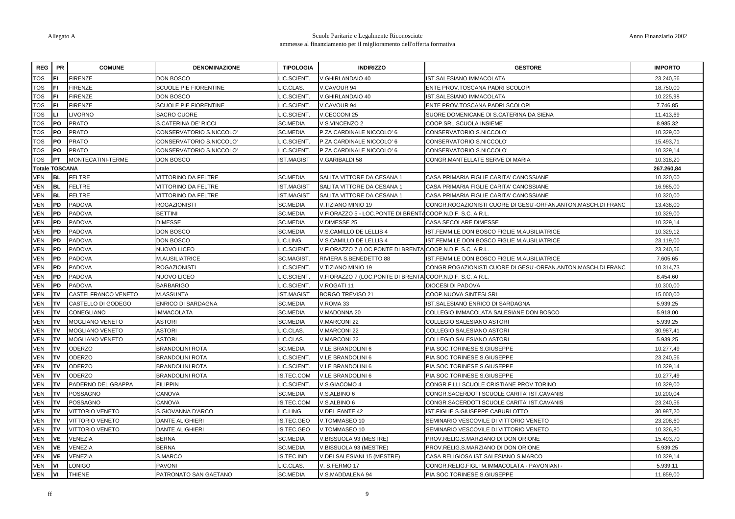| <b>REG</b> | <b>PR</b>             | <b>COMUNE</b>          | <b>DENOMINAZIONE</b>     | <b>TIPOLOGIA</b>  | <b>INDIRIZZO</b>                                          | <b>GESTORE</b>                                               | <b>IMPORTO</b> |
|------------|-----------------------|------------------------|--------------------------|-------------------|-----------------------------------------------------------|--------------------------------------------------------------|----------------|
| TOS        |                       | FIRENZE                | DON BOSCO                | <b>IC.SCIENT.</b> | /.GHIRLANDAIO 40                                          | IST.SALESIANO IMMACOLATA                                     | 23.240,56      |
| TOS        | FI                    | <b>FIRENZE</b>         | SCUOLE PIE FIORENTINE    | IC.CLAS.          | V.CAVOUR 94                                               | ENTE PROV.TOSCANA PADRI SCOLOPI                              | 18.750,00      |
| TOS        |                       | <b>FIRENZE</b>         | <b>DON BOSCO</b>         | IC.SCIENT.        | V.GHIRLANDAIO 40                                          | IST.SALESIANO IMMACOLATA                                     | 10.225,98      |
| TOS        |                       | <b>FIRENZE</b>         | SCUOLE PIE FIORENTINE    | <b>IC.SCIENT</b>  | V.CAVOUR 94                                               | ENTE PROV.TOSCANA PADRI SCOLOPI                              | 7.746,85       |
| TOS        |                       | <b>IVORNO</b>          | <b>SACRO CUORE</b>       | IC.SCIENT         | V.CECCONI 25                                              | SUORE DOMENICANE DI S.CATERINA DA SIENA                      | 11.413,69      |
| TOS        | PO                    | <b>PRATO</b>           | S.CATERINA DE' RICCI     | <b>SC.MEDIA</b>   | V.S.VINCENZO 2                                            | COOP.SRL SCUOLA INSIEME                                      | 8.985,32       |
| TOS        | PO                    | <b>PRATO</b>           | CONSERVATORIO S.NICCOLO' | <b>SC.MEDIA</b>   | P.ZA CARDINALE NICCOLO' 6                                 | CONSERVATORIO S.NICCOLO'                                     | 10.329,00      |
| TOS        | PO                    | <b>PRATO</b>           | CONSERVATORIO S.NICCOLO' | <b>IC.SCIENT.</b> | P.ZA CARDINALE NICCOLO' 6                                 | CONSERVATORIO S.NICCOLO'                                     | 15.493,71      |
| TOS        | PO                    | <b>PRATO</b>           | CONSERVATORIO S.NICCOLO' | <b>IC.SCIENT</b>  | P.ZA CARDINALE NICCOLO' 6                                 | CONSERVATORIO S.NICCOLO'                                     | 10.329,14      |
| TOS        | PT.                   | MONTECATINI-TERME      | <b>DON BOSCO</b>         | <b>IST.MAGIST</b> | V.GARIBALDI 58                                            | CONGR.MANTELLATE SERVE DI MARIA                              | 10.318,20      |
|            | <b>Totale TOSCANA</b> |                        |                          |                   |                                                           |                                                              | 267.260,84     |
| √EN        | <b>BL</b>             | <b>FELTRE</b>          | VITTORINO DA FELTRE      | <b>SC.MEDIA</b>   | SALITA VITTORE DA CESANA 1                                | CASA PRIMARIA FIGLIE CARITA' CANOSSIANE                      | 10.320,00      |
| VEN        | <b>BL</b>             | FELTRE                 | VITTORINO DA FELTRE      | <b>IST.MAGIST</b> | SALITA VITTORE DA CESANA 1                                | CASA PRIMARIA FIGLIE CARITA' CANOSSIANE                      | 16.985,00      |
| VEN        | <b>BL</b>             | <b>FELTRE</b>          | VITTORINO DA FELTRE      | <b>IST.MAGIST</b> | SALITA VITTORE DA CESANA 1                                | CASA PRIMARIA FIGLIE CARITA' CANOSSIANE                      | 10.320,00      |
| VEN        | PD                    | PADOVA                 | <b>ROGAZIONISTI</b>      | <b>SC.MEDIA</b>   | V.TIZIANO MINIO 19                                        | CONGR.ROGAZIONISTI CUORE DI GESU'-ORFAN.ANTON.MASCH.DI FRANC | 13.438,00      |
| <b>VEN</b> | PD                    | PADOVA                 | <b>BETTINI</b>           | <b>SC.MEDIA</b>   | V.FIORAZZO 5 - LOC.PONTE DI BRENTACOOP.N.D.F. S.C. A R.L. |                                                              | 10.329,00      |
| <b>VEN</b> | <b>PD</b>             | <b>PADOVA</b>          | <b>DIMESSE</b>           | <b>SC.MEDIA</b>   | V.DIMESSE 25                                              | CASA SECOLARE DIMESSE                                        | 10.329,14      |
| VEN        | PD                    | <b>PADOVA</b>          | DON BOSCO                | <b>SC.MEDIA</b>   | V.S.CAMILLO DE LELLIS 4                                   | IST.FEMM.LE DON BOSCO FIGLIE M.AUSILIATRICE                  | 10.329,12      |
| VEN        | PD                    | PADOVA                 | <b>DON BOSCO</b>         | <b>IC.LING.</b>   | V.S.CAMILLO DE LELLIS 4                                   | IST.FEMM.LE DON BOSCO FIGLIE M.AUSILIATRICE                  | 23.119,00      |
| VEN        | <b>PD</b>             | PADOVA                 | NUOVO LICEO              | IC.SCIENT.        | V.FIORAZZO 7 (LOC.PONTE DI BRENTA COOP.N.D.F. S.C. A R.L. |                                                              | 23.240,56      |
| <b>VEN</b> | PD                    | PADOVA                 | M.AUSILIATRICE           | <b>SC.MAGIST</b>  | RIVIERA S.BENEDETTO 88                                    | IST.FEMM.LE DON BOSCO FIGLIE M.AUSILIATRICE                  | 7.605,65       |
| VEN        | <b>PD</b>             | <b>PADOVA</b>          | <b>ROGAZIONISTI</b>      | <b>IC.SCIENT</b>  | V.TIZIANO MINIO 19                                        | CONGR.ROGAZIONISTI CUORE DI GESU'-ORFAN.ANTON.MASCH.DI FRANC | 10.314,73      |
| VEN        | PD                    | PADOVA                 | NUOVO LICEO              | LIC.SCIENT.       | V.FIORAZZO 7 (LOC.PONTE DI BRENTA COOP.N.D.F. S.C. A R.L  |                                                              | 8.454,60       |
| VEN        | PD                    | <b>PADOVA</b>          | <b>BARBARIGO</b>         | <b>IC.SCIENT</b>  | V.ROGATI 11                                               | DIOCESI DI PADOVA                                            | 10.300,00      |
| VEN        | TV                    | CASTELFRANCO VENETO    | <b>M.ASSUNTA</b>         | <b>IST.MAGIST</b> | <b>BORGO TREVISO 21</b>                                   | COOP.NUOVA SINTESI SRL                                       | 15.000,00      |
| VEN        | TV                    | CASTELLO DI GODEGO     | ENRICO DI SARDAGNA       | <b>SC.MEDIA</b>   | /.ROMA 33                                                 | IST.SALESIANO ENRICO DI SARDAGNA                             | 5.939,25       |
| VEN        | TV                    | CONEGLIANO             | IMMACOLATA               | <b>SC.MEDIA</b>   | V.MADONNA 20                                              | COLLEGIO IMMACOLATA SALESIANE DON BOSCO                      | 5.918,00       |
| VEN        | TV                    | <b>MOGLIANO VENETO</b> | <b>ASTORI</b>            | <b>SC.MEDIA</b>   | V.MARCONI 22                                              | COLLEGIO SALESIANO ASTORI                                    | 5.939,25       |
| VEN        | TV                    | <b>MOGLIANO VENETO</b> | <b>ASTORI</b>            | LIC.CLAS.         | V.MARCONI 22                                              | COLLEGIO SALESIANO ASTORI                                    | 30.987,41      |
| VEN        | TV                    | <b>MOGLIANO VENETO</b> | <b>ASTORI</b>            | <b>IC.CLAS.</b>   | V.MARCONI 22                                              | COLLEGIO SALESIANO ASTORI                                    | 5.939,25       |
| VEN        | TV                    | ODERZO                 | <b>BRANDOLINI ROTA</b>   | <b>SC.MEDIA</b>   | V.LE BRANDOLINI 6                                         | PIA SOC.TORINESE S.GIUSEPPE                                  | 10.277,49      |
| <b>VEN</b> | TV                    | <b>ODERZO</b>          | <b>BRANDOLINI ROTA</b>   | <b>IC.SCIENT.</b> | V.LE BRANDOLINI 6                                         | PIA SOC.TORINESE S.GIUSEPPE                                  | 23.240,56      |
| √EN        | TV                    | <b>ODERZO</b>          | <b>BRANDOLINI ROTA</b>   | <b>IC.SCIENT.</b> | V.LE BRANDOLINI 6                                         | PIA SOC.TORINESE S.GIUSEPPE                                  | 10.329,14      |
| VEN        | TV                    | <b>ODERZO</b>          | <b>BRANDOLINI ROTA</b>   | IS.TEC.COM        | V.LE BRANDOLINI 6                                         | PIA SOC.TORINESE S.GIUSEPPE                                  | 10.277,49      |
| VEN        | <b>TV</b>             | PADERNO DEL GRAPPA     | <b>FILIPPIN</b>          | LIC.SCIENT.       | V.S.GIACOMO 4                                             | CONGR.F.LLI SCUOLE CRISTIANE PROV.TORINO                     | 10.329,00      |
| VEN        | TV                    | POSSAGNO               | CANOVA                   | <b>SC.MEDIA</b>   | V.S.ALBINO 6                                              | CONGR.SACERDOTI SCUOLE CARITA' IST.CAVANIS                   | 10.200,04      |
| VEN        | TV                    | POSSAGNO               | CANOVA                   | IS.TEC.COM        | V.S.ALBINO 6                                              | CONGR.SACERDOTI SCUOLE CARITA' IST.CAVANIS                   | 23.240,56      |
| √EN        | TV                    | VITTORIO VENETO        | S.GIOVANNA D'ARCO        | <b>IC.LING.</b>   | V.DEL FANTE 42                                            | IST.FIGLIE S.GIUSEPPE CABURLOTTO                             | 30.987,20      |
| VEN        | TV                    | <b>VITTORIO VENETO</b> | <b>DANTE ALIGHIERI</b>   | IS.TEC.GEO        | V.TOMMASEO 10                                             | SEMINARIO VESCOVILE DI VITTORIO VENETO                       | 23.208,60      |
| VEN        | <b>TV</b>             | VITTORIO VENETO        | <b>DANTE ALIGHIERI</b>   | IS.TEC.GEO        | V.TOMMASEO 10                                             | SEMINARIO VESCOVILE DI VITTORIO VENETO                       | 10.326,80      |
| VEN        | VE                    | <b>/ENEZIA</b>         | <b>BERNA</b>             | <b>SC.MEDIA</b>   | /.BISSUOLA 93 (MESTRE)                                    | PROV.RELIG.S.MARZIANO DI DON ORIONE                          | 15.493,70      |
| VEN        | VE                    | <b>/ENEZIA</b>         | <b>BERNA</b>             | SC.MEDIA          | /.BISSUOLA 93 (MESTRE)                                    | PROV.RELIG.S.MARZIANO DI DON ORIONE                          | 5.939,25       |
| √EN        | VE                    | VENEZIA                | S.MARCO                  | IS.TEC.IND        | V.DEI SALESIANI 15 (MESTRE)                               | CASA RELIGIOSA IST.SALESIANO S.MARCO                         | 10.329,14      |
| VEN        | ۷ı                    | LONIGO                 | <b>PAVONI</b>            | <b>IC.CLAS.</b>   | V. S.FERMO 17                                             | CONGR.RELIG.FIGLI M.IMMACOLATA - PAVONIANI -                 | 5.939,11       |
| VEN        | VI                    | <b>THIENE</b>          | PATRONATO SAN GAETANO    | <b>SC.MEDIA</b>   | V.S.MADDALENA 94                                          | PIA SOC.TORINESE S.GIUSEPPE                                  | 11.859,00      |